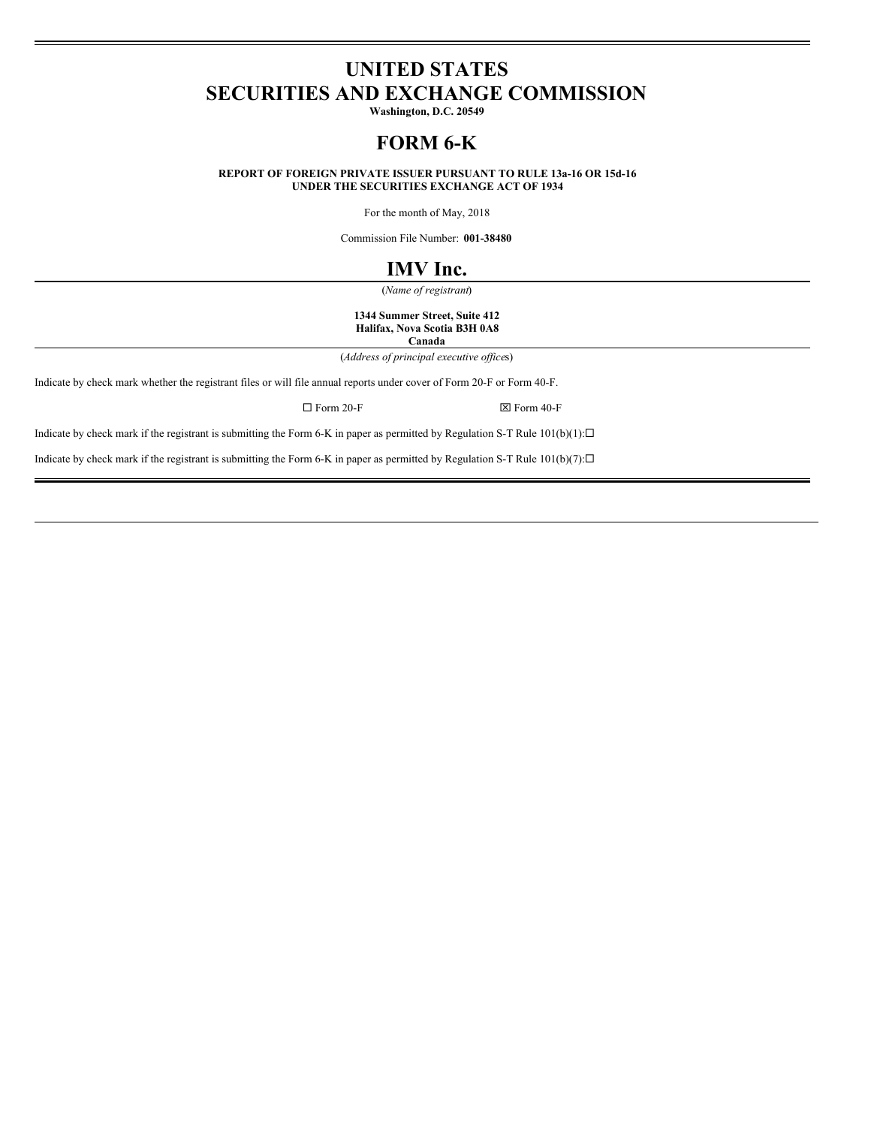# **UNITED STATES SECURITIES AND EXCHANGE COMMISSION**

**Washington, D.C. 20549**

# **FORM 6-K**

**REPORT OF FOREIGN PRIVATE ISSUER PURSUANT TO RULE 13a-16 OR 15d-16 UNDER THE SECURITIES EXCHANGE ACT OF 1934**

For the month of May, 2018

Commission File Number: **001-38480**

# **IMV Inc.**

(*Name of registrant*)

**1344 Summer Street, Suite 412 Halifax, Nova Scotia B3H 0A8 Canada**

(*Address of principal executive of ice*s)

Indicate by check mark whether the registrant files or will file annual reports under cover of Form 20-F or Form 40-F.

 $\square$  Form 20-F  $\square$ 

Indicate by check mark if the registrant is submitting the Form 6-K in paper as permitted by Regulation S-T Rule  $101(b)(1): \Box$ 

Indicate by check mark if the registrant is submitting the Form 6-K in paper as permitted by Regulation S-T Rule  $101(b)(7):$ <sup>[1]</sup>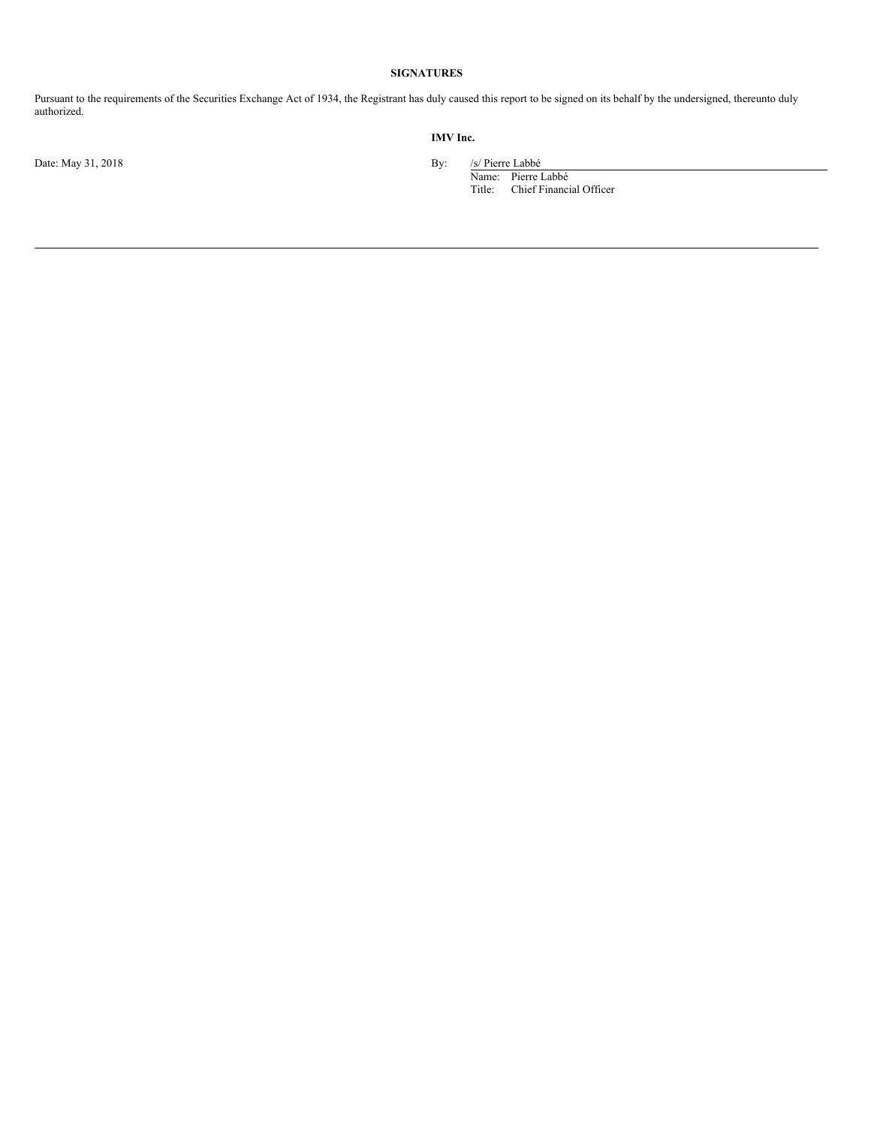# **SIGNATURES**

Pursuant to the requirements of the Securities Exchange Act of 1934, the Registrant has duly caused this report to be signed on its behalf by the undersigned, thereunto duly authorized.

Date: May 31, 2018 By: /s/ Pierre Labbé

**IMV Inc.**

Name: Pierre Labbé Title: Chief Financial Officer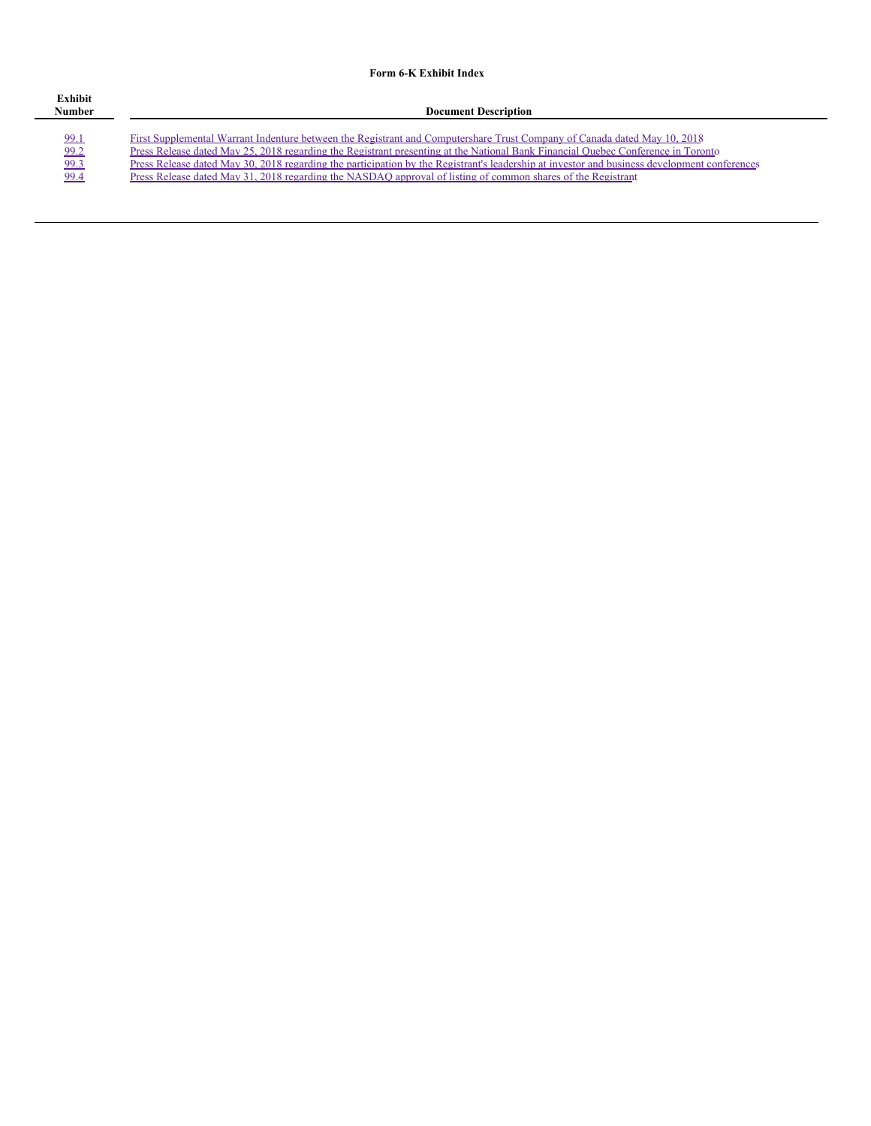# **Form 6-K Exhibit Index**

| Exhibit<br>Number | <b>Document Description</b>                                                                                                                  |
|-------------------|----------------------------------------------------------------------------------------------------------------------------------------------|
| 99.1              | First Supplemental Warrant Indenture between the Registrant and Computershare Trust Company of Canada dated May 10, 2018                     |
| 99.2              | Press Release dated May 25, 2018 regarding the Registrant presenting at the National Bank Financial Quebec Conference in Toronto             |
| 99.3              | Press Release dated May 30, 2018 regarding the participation by the Registrant's leadership at investor and business development conferences |
| 99.4              | Press Release dated May 31, 2018 regarding the NASDAO approval of listing of common shares of the Registrant                                 |
|                   |                                                                                                                                              |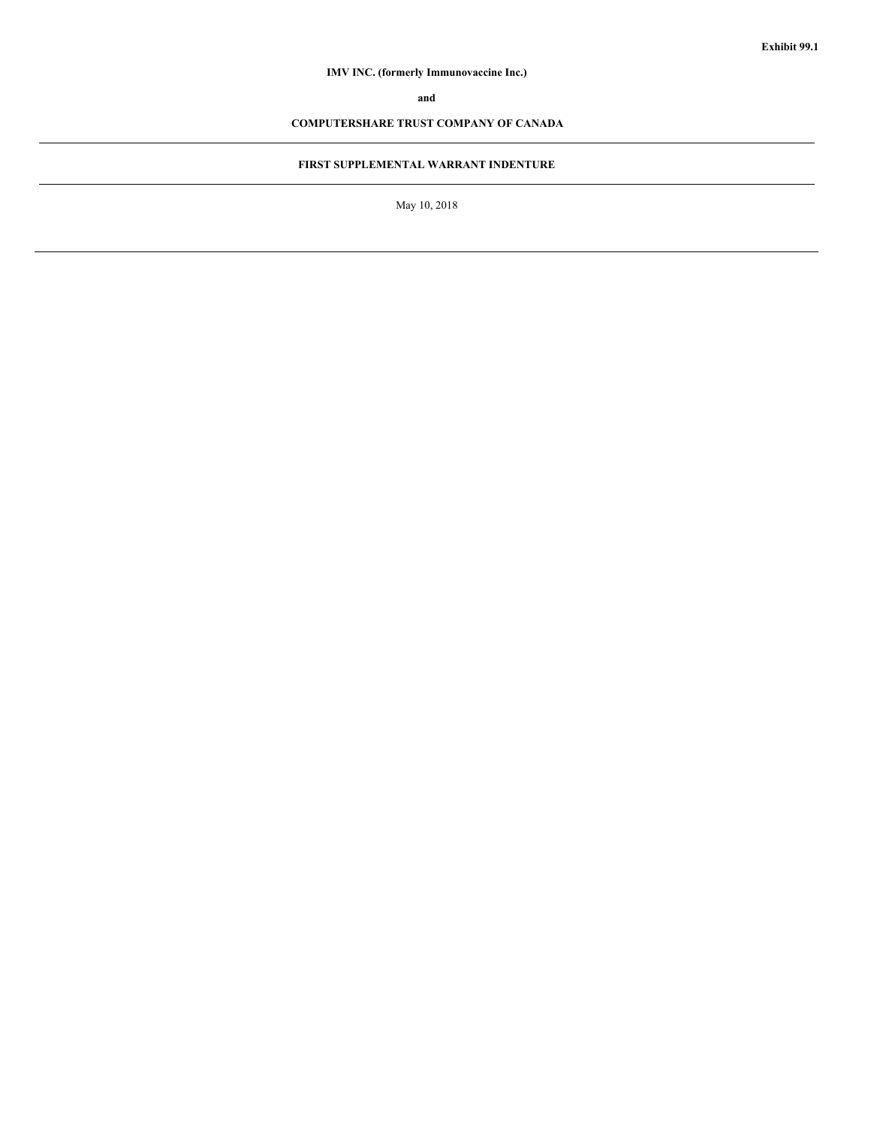# **IMV INC. (formerly Immunovaccine Inc.)**

**and**

# **COMPUTERSHARE TRUST COMPANY OF CANADA**

# **FIRST SUPPLEMENTAL WARRANT INDENTURE**

May 10, 2018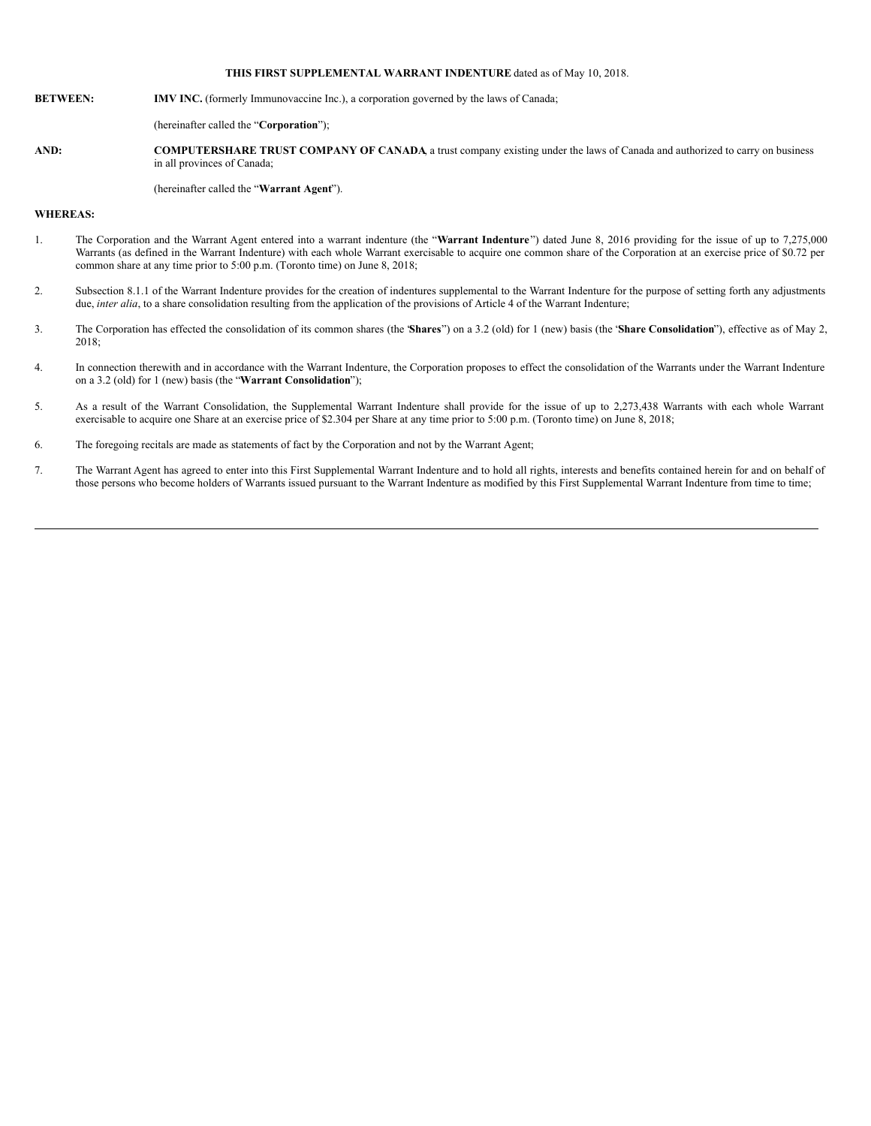#### **THIS FIRST SUPPLEMENTAL WARRANT INDENTURE** dated as of May 10, 2018.

#### **BETWEEN: IMV INC.** (formerly Immunovaccine Inc.), a corporation governed by the laws of Canada;

(hereinafter called the "**Corporation**");

**AND: COMPUTERSHARE TRUST COMPANY OF CANADA**, a trust company existing under the laws of Canada and authorized to carry on business in all provinces of Canada;

(hereinafter called the "**Warrant Agent**").

#### **WHEREAS:**

- 1. The Corporation and the Warrant Agent entered into a warrant indenture (the "**Warrant Indenture**") dated June 8, 2016 providing for the issue of up to 7,275,000 Warrants (as defined in the Warrant Indenture) with each whole Warrant exercisable to acquire one common share of the Corporation at an exercise price of \$0.72 per common share at any time prior to 5:00 p.m. (Toronto time) on June 8, 2018;
- 2. Subsection 8.1.1 of the Warrant Indenture provides for the creation of indentures supplemental to the Warrant Indenture for the purpose of setting forth any adjustments due, *inter alia*, to a share consolidation resulting from the application of the provisions of Article 4 of the Warrant Indenture;
- 3. The Corporation has effected the consolidation of its common shares (the "**Shares**") on a 3.2 (old) for 1 (new) basis (the "**Share Consolidation**"), effective as of May 2, 2018;
- 4. In connection therewith and in accordance with the Warrant Indenture, the Corporation proposes to effect the consolidation of the Warrants under the Warrant Indenture on a 3.2 (old) for 1 (new) basis (the "**Warrant Consolidation**");
- 5. As a result of the Warrant Consolidation, the Supplemental Warrant Indenture shall provide for the issue of up to 2,273,438 Warrants with each whole Warrant exercisable to acquire one Share at an exercise price of \$2.304 per Share at any time prior to 5:00 p.m. (Toronto time) on June 8, 2018;
- 6. The foregoing recitals are made as statements of fact by the Corporation and not by the Warrant Agent;
- 7. The Warrant Agent has agreed to enter into this First Supplemental Warrant Indenture and to hold all rights, interests and benefits contained herein for and on behalf of those persons who become holders of Warrants issued pursuant to the Warrant Indenture as modified by this First Supplemental Warrant Indenture from time to time;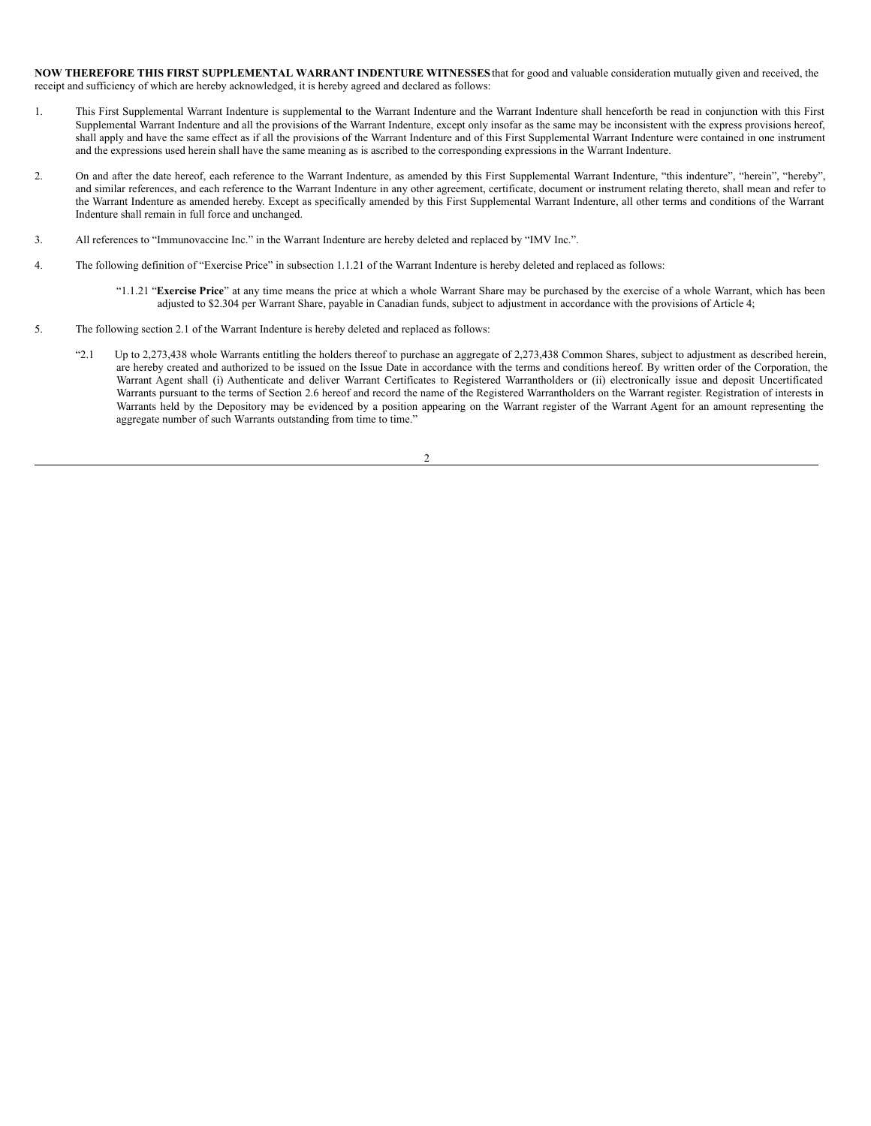**NOW THEREFORE THIS FIRST SUPPLEMENTAL WARRANT INDENTURE WITNESSES**that for good and valuable consideration mutually given and received, the receipt and sufficiency of which are hereby acknowledged, it is hereby agreed and declared as follows:

- 1. This First Supplemental Warrant Indenture is supplemental to the Warrant Indenture and the Warrant Indenture shall henceforth be read in conjunction with this First Supplemental Warrant Indenture and all the provisions of the Warrant Indenture, except only insofar as the same may be inconsistent with the express provisions hereof, shall apply and have the same effect as if all the provisions of the Warrant Indenture and of this First Supplemental Warrant Indenture were contained in one instrument and the expressions used herein shall have the same meaning as is ascribed to the corresponding expressions in the Warrant Indenture.
- 2. On and after the date hereof, each reference to the Warrant Indenture, as amended by this First Supplemental Warrant Indenture, "this indenture", "herein", "hereby", and similar references, and each reference to the Warrant Indenture in any other agreement, certificate, document or instrument relating thereto, shall mean and refer to the Warrant Indenture as amended hereby. Except as specifically amended by this First Supplemental Warrant Indenture, all other terms and conditions of the Warrant Indenture shall remain in full force and unchanged.
- 3. All references to "Immunovaccine Inc." in the Warrant Indenture are hereby deleted and replaced by "IMV Inc.".
- 4. The following definition of "Exercise Price" in subsection 1.1.21 of the Warrant Indenture is hereby deleted and replaced as follows:
	- "1.1.21 "**Exercise Price**" at any time means the price at which a whole Warrant Share may be purchased by the exercise of a whole Warrant, which has been adjusted to \$2.304 per Warrant Share, payable in Canadian funds, subject to adjustment in accordance with the provisions of Article 4;
- 5. The following section 2.1 of the Warrant Indenture is hereby deleted and replaced as follows:
	- "2.1 Up to 2,273,438 whole Warrants entitling the holders thereof to purchase an aggregate of 2,273,438 Common Shares, subject to adjustment as described herein, are hereby created and authorized to be issued on the Issue Date in accordance with the terms and conditions hereof. By written order of the Corporation, the Warrant Agent shall (i) Authenticate and deliver Warrant Certificates to Registered Warrantholders or (ii) electronically issue and deposit Uncertificated Warrants pursuant to the terms of Section 2.6 hereof and record the name of the Registered Warrantholders on the Warrant register. Registration of interests in Warrants held by the Depository may be evidenced by a position appearing on the Warrant register of the Warrant Agent for an amount representing the aggregate number of such Warrants outstanding from time to time."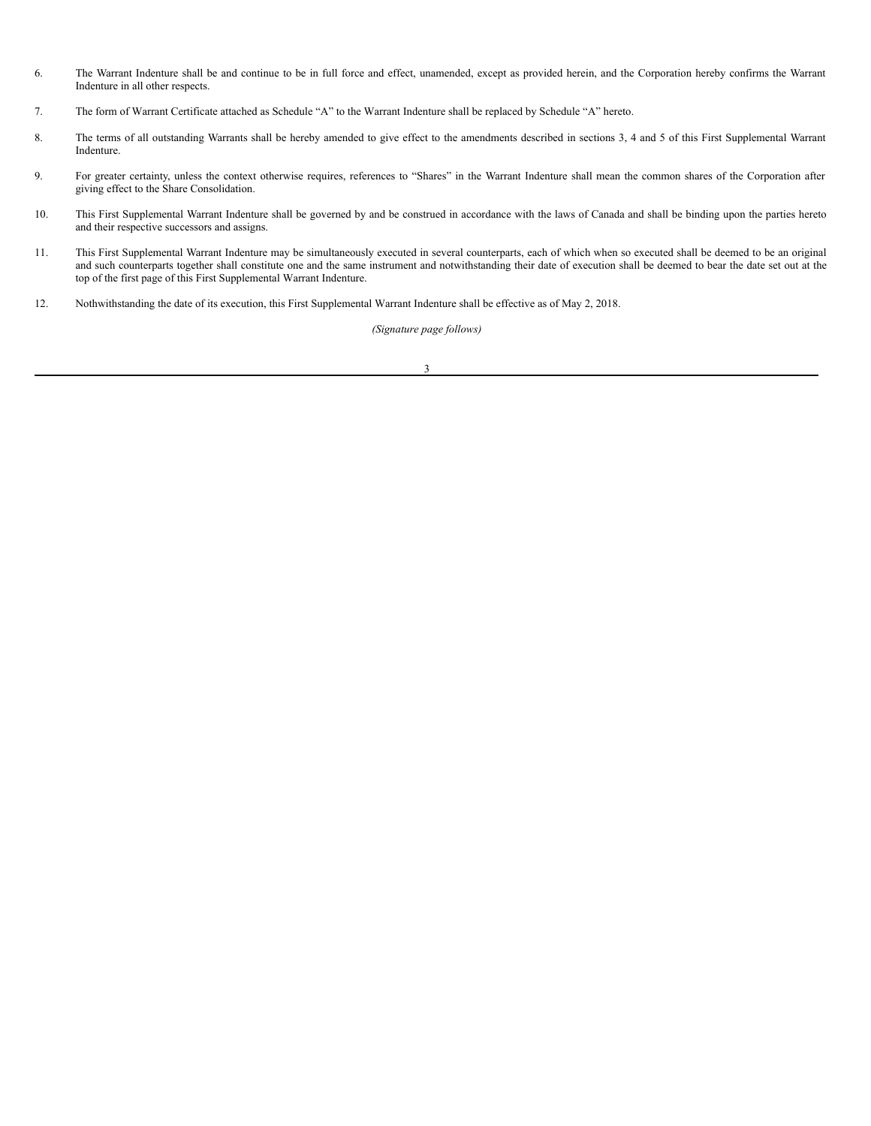- 6. The Warrant Indenture shall be and continue to be in full force and effect, unamended, except as provided herein, and the Corporation hereby confirms the Warrant Indenture in all other respects.
- 7. The form of Warrant Certificate attached as Schedule "A" to the Warrant Indenture shall be replaced by Schedule "A" hereto.
- 8. The terms of all outstanding Warrants shall be hereby amended to give effect to the amendments described in sections 3, 4 and 5 of this First Supplemental Warrant Indenture.
- 9. For greater certainty, unless the context otherwise requires, references to "Shares" in the Warrant Indenture shall mean the common shares of the Corporation after giving effect to the Share Consolidation.
- 10. This First Supplemental Warrant Indenture shall be governed by and be construed in accordance with the laws of Canada and shall be binding upon the parties hereto and their respective successors and assigns.
- 11. This First Supplemental Warrant Indenture may be simultaneously executed in several counterparts, each of which when so executed shall be deemed to be an original and such counterparts together shall constitute one and the same instrument and notwithstanding their date of execution shall be deemed to bear the date set out at the top of the first page of this First Supplemental Warrant Indenture.
- 12. Nothwithstanding the date of its execution, this First Supplemental Warrant Indenture shall be effective as of May 2, 2018.

*(Signature page follows)*

3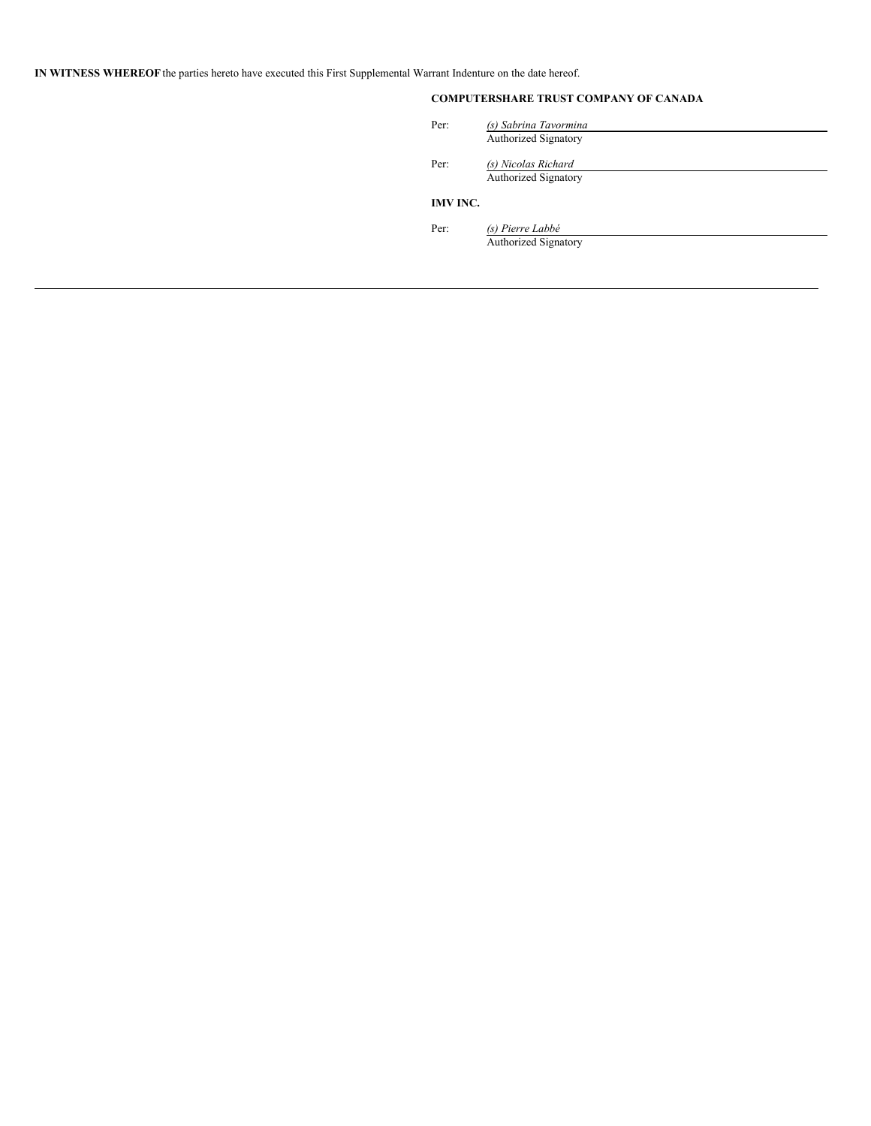**IN WITNESS WHEREOF** the parties hereto have executed this First Supplemental Warrant Indenture on the date hereof.

# **COMPUTERSHARE TRUST COMPANY OF CANADA**

| Per:            | (s) Sabrina Tavormina       |
|-----------------|-----------------------------|
|                 | <b>Authorized Signatory</b> |
| Per:            | (s) Nicolas Richard         |
|                 | <b>Authorized Signatory</b> |
| <b>IMV INC.</b> |                             |
| Per:            | (s) Pierre Labbé            |
|                 | <b>Authorized Signatory</b> |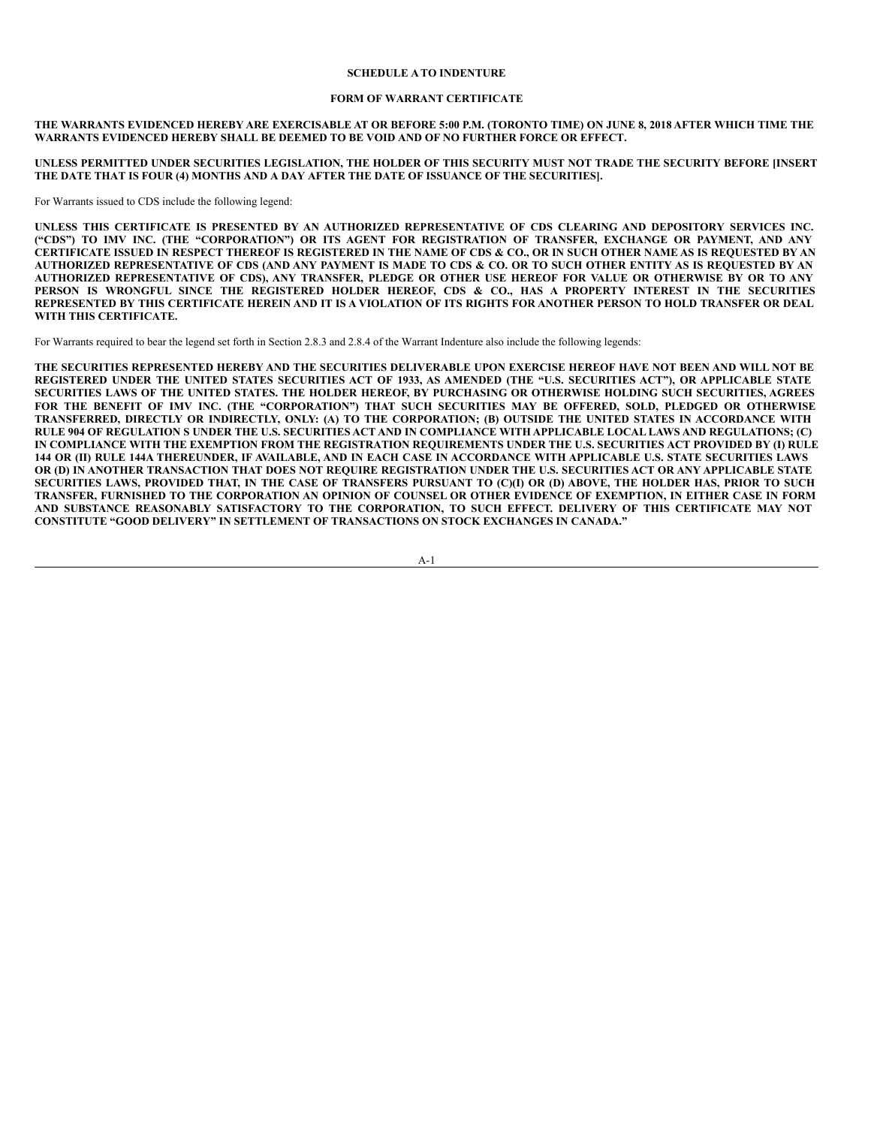#### **SCHEDULE A TO INDENTURE**

#### **FORM OF WARRANT CERTIFICATE**

THE WARRANTS EVIDENCED HEREBY ARE EXERCISABLE AT OR BEFORE 5:00 P.M. (TORONTO TIME) ON JUNE 8, 2018 AFTER WHICH TIME THE **WARRANTS EVIDENCED HEREBY SHALL BE DEEMED TO BE VOID AND OF NO FURTHER FORCE OR EFFECT.**

UNLESS PERMITTED UNDER SECURITIES LEGISLATION. THE HOLDER OF THIS SECURITY MUST NOT TRADE THE SECURITY BEFORE IINSERT **THE DATE THAT IS FOUR (4) MONTHS AND A DAY AFTER THE DATE OF ISSUANCE OF THE SECURITIES].**

For Warrants issued to CDS include the following legend:

UNLESS THIS CERTIFICATE IS PRESENTED BY AN AUTHORIZED REPRESENTATIVE OF CDS CLEARING AND DEPOSITORY SERVICES INC. ("CDS") TO IMV INC. (THE "CORPORATION") OR ITS AGENT FOR REGISTRATION OF TRANSFER, EXCHANGE OR PAYMENT, AND ANY CERTIFICATE ISSUED IN RESPECT THEREOF IS REGISTERED IN THE NAME OF CDS & CO., OR IN SUCH OTHER NAME AS IS REQUESTED BY AN AUTHORIZED REPRESENTATIVE OF CDS (AND ANY PAYMENT IS MADE TO CDS & CO. OR TO SUCH OTHER ENTITY AS IS REOUESTED BY AN AUTHORIZED REPRESENTATIVE OF CDS), ANY TRANSFER, PLEDGE OR OTHER USE HEREOF FOR VALUE OR OTHERWISE BY OR TO ANY PERSON IS WRONGFUL SINCE THE REGISTERED HOLDER HEREOF. CDS & CO., HAS A PROPERTY INTEREST IN THE SECURITIES REPRESENTED BY THIS CERTIFICATE HEREIN AND IT IS A VIOLATION OF ITS RIGHTS FOR ANOTHER PERSON TO HOLD TRANSFER OR DEAL **WITH THIS CERTIFICATE.**

For Warrants required to bear the legend set forth in Section 2.8.3 and 2.8.4 of the Warrant Indenture also include the following legends:

THE SECURITIES REPRESENTED HEREBY AND THE SECURITIES DELIVERABLE UPON EXERCISE HEREOF HAVE NOT BEEN AND WILL NOT BE REGISTERED UNDER THE UNITED STATES SECURITIES ACT OF 1933, AS AMENDED (THE "U.S. SECURITIES ACT"). OR APPLICABLE STATE SECURITIES LAWS OF THE UNITED STATES. THE HOLDER HEREOF, BY PURCHASING OR OTHERWISE HOLDING SUCH SECURITIES, AGREES FOR THE BENEFIT OF IMV INC. (THE "CORPORATION") THAT SUCH SECURITIES MAY BE OFFERED, SOLD, PLEDGED OR OTHERWISE TRANSFERRED, DIRECTLY OR INDIRECTLY, ONLY: (A) TO THE CORPORATION; (B) OUTSIDE THE UNITED STATES IN ACCORDANCE WITH RULE 904 OF REGULATION S UNDER THE U.S. SECURITIES ACT AND IN COMPLIANCE WITH APPLICABLE LOCAL LAWS AND REGULATIONS; (C) IN COMPLIANCE WITH THE EXEMPTION FROM THE REGISTRATION REQUIREMENTS UNDER THE U.S. SECURITIES ACT PROVIDED BY (I) RULE 144 OR (II) RULE 144A THEREUNDER, IF AVAILABLE, AND IN EACH CASE IN ACCORDANCE WITH APPLICABLE U.S. STATE SECURITIES LAWS OR (D) IN ANOTHER TRANSACTION THAT DOES NOT REQUIRE REGISTRATION UNDER THE U.S. SECURITIES ACT OR ANY APPLICABLE STATE SECURITIES LAWS, PROVIDED THAT, IN THE CASE OF TRANSFERS PURSUANT TO (C)(I) OR (D) ABOVE, THE HOLDER HAS, PRIOR TO SUCH TRANSFER, FURNISHED TO THE CORPORATION AN OPINION OF COUNSEL OR OTHER EVIDENCE OF EXEMPTION, IN EITHER CASE IN FORM **AND SUBSTANCE REASONABLY SATISFACTORY TO THE CORPORATION, TO SUCH EFFECT. DELIVERY OF THIS CERTIFICATE MAY NOT CONSTITUTE "GOOD DELIVERY" IN SETTLEMENT OF TRANSACTIONS ON STOCK EXCHANGES IN CANADA."**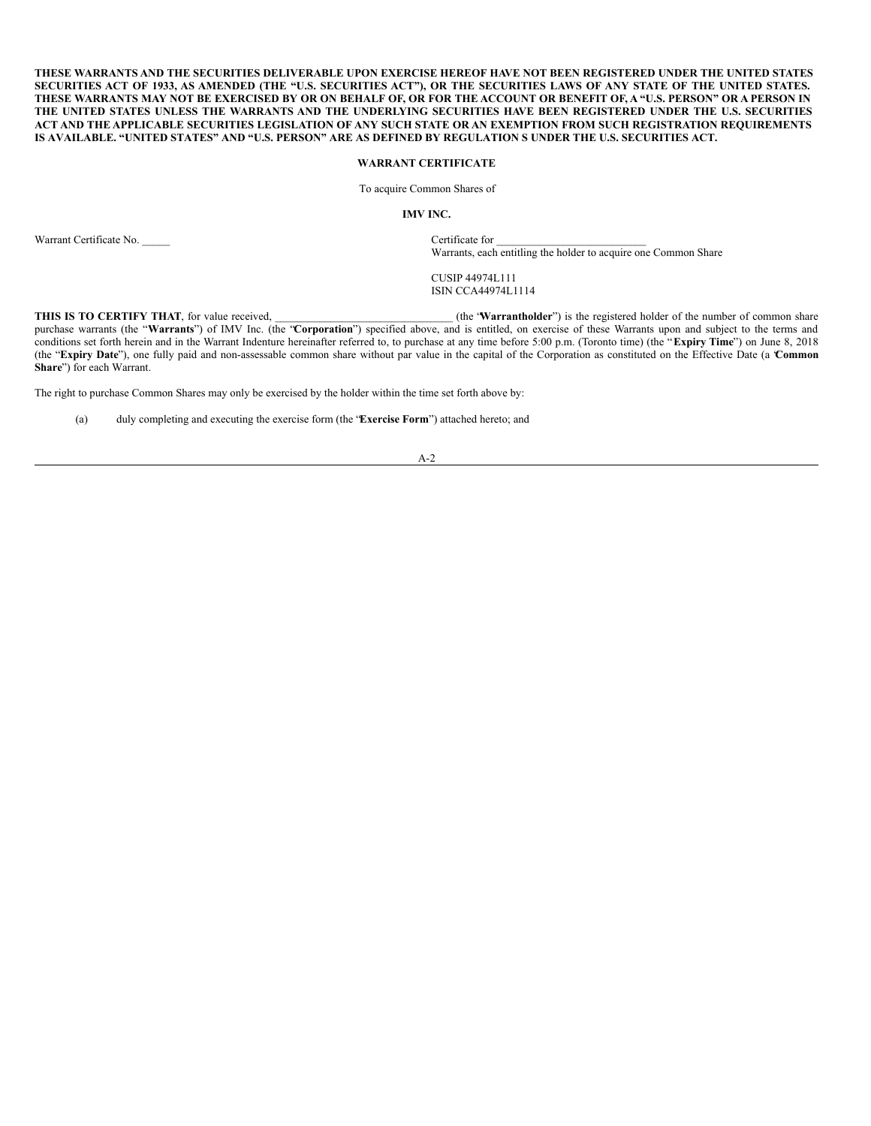THESE WARRANTS AND THE SECURITIES DELIVERABLE UPON EXERCISE HEREOF HAVE NOT BEEN REGISTERED UNDER THE UNITED STATES SECURITIES ACT OF 1933, AS AMENDED (THE "U.S. SECURITIES ACT"), OR THE SECURITIES LAWS OF ANY STATE OF THE UNITED STATES. THESE WARRANTS MAY NOT BE EXERCISED BY OR ON BEHALF OF, OR FOR THE ACCOUNT OR BENEFIT OF, A "U.S. PERSON" OR A PERSON IN THE UNITED STATES UNLESS THE WARRANTS AND THE UNDERLYING SECURITIES HAVE BEEN REGISTERED UNDER THE U.S. SECURITIES ACT AND THE APPLICABLE SECURITIES LEGISLATION OF ANY SUCH STATE OR AN EXEMPTION FROM SUCH REGISTRATION REQUIREMENTS IS AVAILABLE. "UNITED STATES" AND "U.S. PERSON" ARE AS DEFINED BY REGULATION S UNDER THE U.S. SECURITIES ACT.

#### **WARRANT CERTIFICATE**

To acquire Common Shares of

#### **IMV INC.**

Warrant Certificate No. 2002 2003 2004 2004 2004 2004 2005 2006 2007 2007 2008 2007 2007 2008 2007 2008 2007 20

Warrants, each entitling the holder to acquire one Common Share

CUSIP 44974L111 ISIN CCA44974L1114

**THIS** IS TO CERTIFY THAT, for value received,  $($ **the 'Warrantholder''**) is the registered holder of the number of common share purchase warrants (the "**Warrants**") of IMV Inc. (the "**Corporation**") specified above, and is entitled, on exercise of these Warrants upon and subject to the terms and purchase warrants (the "**Warrants**") of IMV Inc. (the conditions set forth herein and in the Warrant Indenture hereinafter referred to, to purchase at any time before 5:00 p.m. (Toronto time) (the "**Expiry Time**") on June 8, 2018 (the "**Expiry Date**"), one fully paid and non-assessable common share without par value in the capital of the Corporation as constituted on the Effective Date (a "**Common Share**") for each Warrant.

The right to purchase Common Shares may only be exercised by the holder within the time set forth above by:

(a) duly completing and executing the exercise form (the "**Exercise Form**") attached hereto; and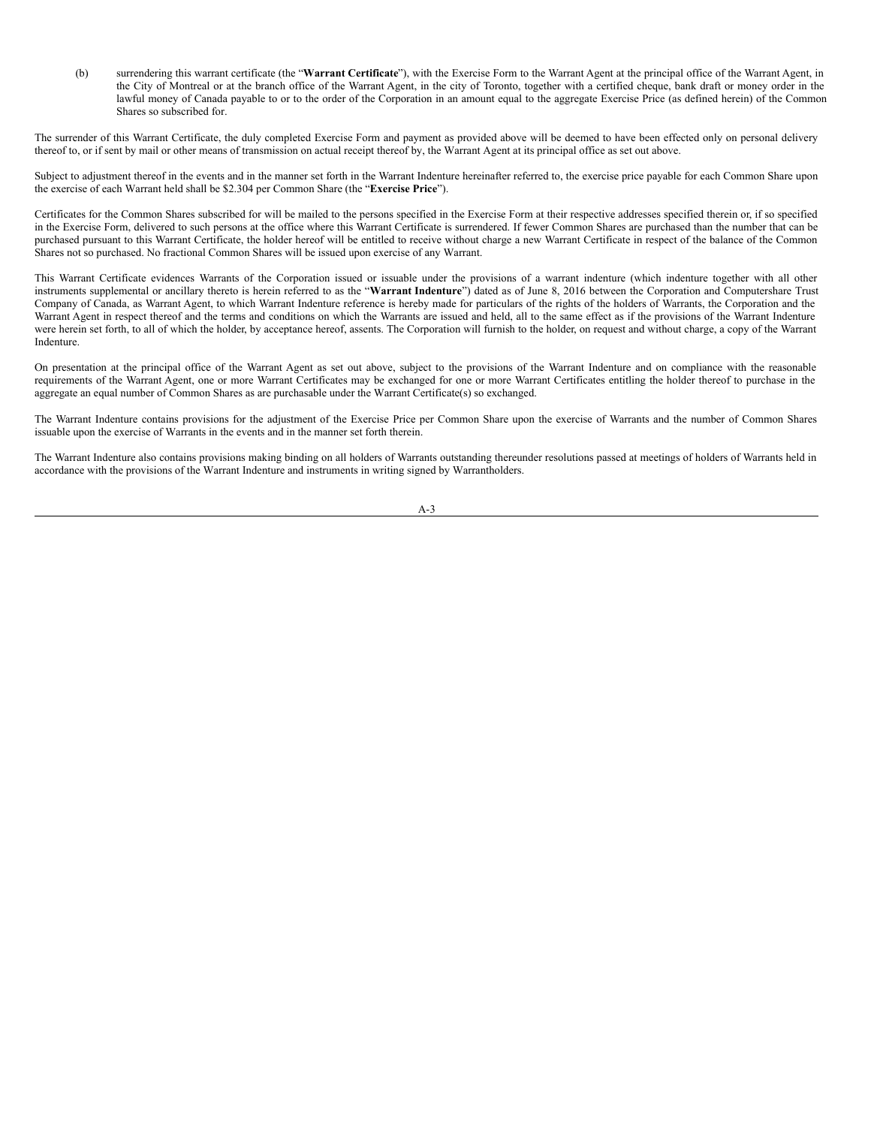<span id="page-10-0"></span>(b) surrendering this warrant certificate (the "**Warrant Certificate**"), with the Exercise Form to the Warrant Agent at the principal office of the Warrant Agent, in the City of Montreal or at the branch office of the Warrant Agent, in the city of Toronto, together with a certified cheque, bank draft or money order in the lawful money of Canada payable to or to the order of the Corporation in an amount equal to the aggregate Exercise Price (as defined herein) of the Common Shares so subscribed for.

The surrender of this Warrant Certificate, the duly completed Exercise Form and payment as provided above will be deemed to have been effected only on personal delivery thereof to, or if sent by mail or other means of transmission on actual receipt thereof by, the Warrant Agent at its principal office as set out above.

Subject to adjustment thereof in the events and in the manner set forth in the Warrant Indenture hereinafter referred to, the exercise price payable for each Common Share upon the exercise of each Warrant held shall be \$2.304 per Common Share (the "**Exercise Price**").

Certificates for the Common Shares subscribed for will be mailed to the persons specified in the Exercise Form at their respective addresses specified therein or, if so specified in the Exercise Form, delivered to such persons at the office where this Warrant Certificate is surrendered. If fewer Common Shares are purchased than the number that can be purchased pursuant to this Warrant Certificate, the holder hereof will be entitled to receive without charge a new Warrant Certificate in respect of the balance of the Common Shares not so purchased. No fractional Common Shares will be issued upon exercise of any Warrant.

This Warrant Certificate evidences Warrants of the Corporation issued or issuable under the provisions of a warrant indenture (which indenture together with all other instruments supplemental or ancillary thereto is herein referred to as the "**Warrant Indenture**") dated as of June 8, 2016 between the Corporation and Computershare Trust Company of Canada, as Warrant Agent, to which Warrant Indenture reference is hereby made for particulars of the rights of the holders of Warrants, the Corporation and the Warrant Agent in respect thereof and the terms and conditions on which the Warrants are issued and held, all to the same effect as if the provisions of the Warrant Indenture were herein set forth, to all of which the holder, by acceptance hereof, assents. The Corporation will furnish to the holder, on request and without charge, a copy of the Warrant Indenture.

On presentation at the principal office of the Warrant Agent as set out above, subject to the provisions of the Warrant Indenture and on compliance with the reasonable requirements of the Warrant Agent, one or more Warrant Certificates may be exchanged for one or more Warrant Certificates entitling the holder thereof to purchase in the aggregate an equal number of Common Shares as are purchasable under the Warrant Certificate(s) so exchanged.

The Warrant Indenture contains provisions for the adjustment of the Exercise Price per Common Share upon the exercise of Warrants and the number of Common Shares issuable upon the exercise of Warrants in the events and in the manner set forth therein.

The Warrant Indenture also contains provisions making binding on all holders of Warrants outstanding thereunder resolutions passed at meetings of holders of Warrants held in accordance with the provisions of the Warrant Indenture and instruments in writing signed by Warrantholders.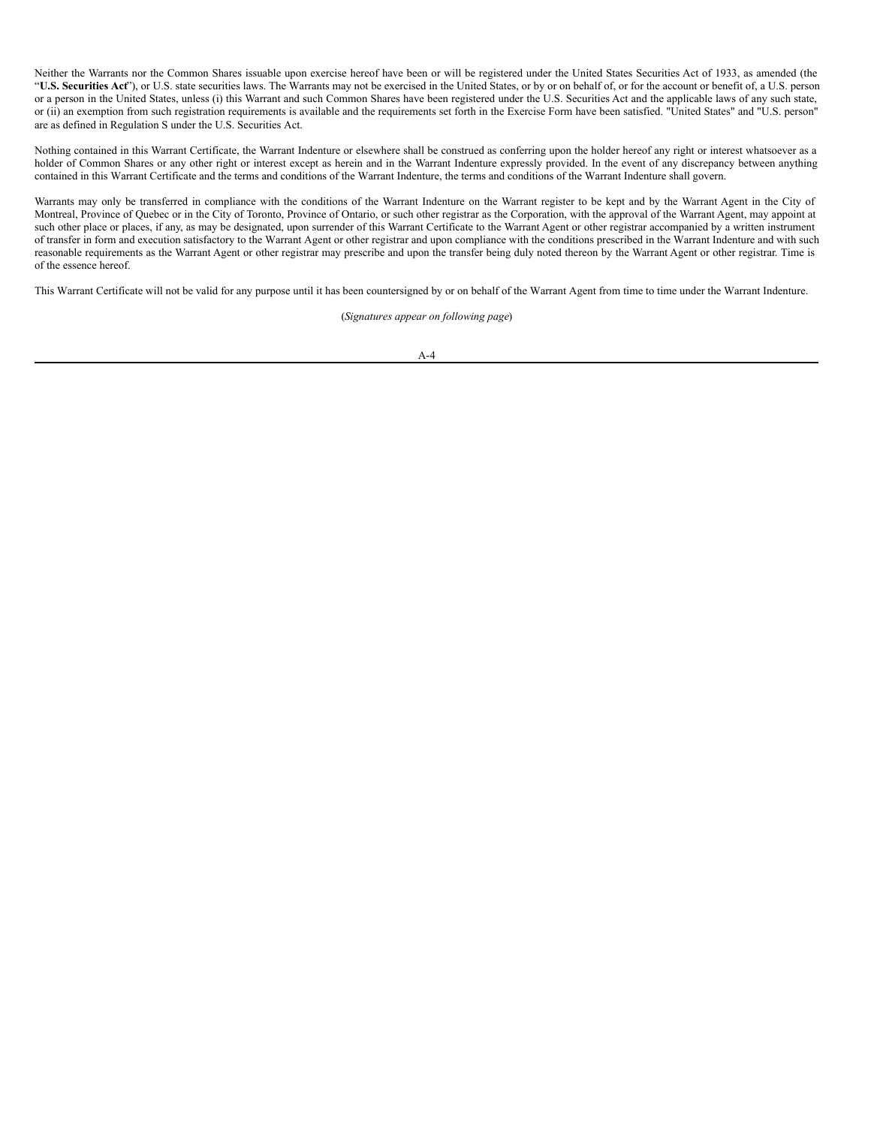Neither the Warrants nor the Common Shares issuable upon exercise hereof have been or will be registered under the United States Securities Act of 1933, as amended (the "**U.S. Securities Act**"), or U.S. state securities laws. The Warrants may not be exercised in the United States, or by or on behalf of, or for the account or benefit of, a U.S. person or a person in the United States, unless (i) this Warrant and such Common Shares have been registered under the U.S. Securities Act and the applicable laws of any such state, or (ii) an exemption from such registration requirements is available and the requirements set forth in the Exercise Form have been satisfied. "United States" and "U.S. person" are as defined in Regulation S under the U.S. Securities Act.

Nothing contained in this Warrant Certificate, the Warrant Indenture or elsewhere shall be construed as conferring upon the holder hereof any right or interest whatsoever as a holder of Common Shares or any other right or interest except as herein and in the Warrant Indenture expressly provided. In the event of any discrepancy between anything contained in this Warrant Certificate and the terms and conditions of the Warrant Indenture, the terms and conditions of the Warrant Indenture shall govern.

Warrants may only be transferred in compliance with the conditions of the Warrant Indenture on the Warrant register to be kept and by the Warrant Agent in the City of Montreal, Province of Quebec or in the City of Toronto, Province of Ontario, or such other registrar as the Corporation, with the approval of the Warrant Agent, may appoint at such other place or places, if any, as may be designated, upon surrender of this Warrant Certificate to the Warrant Agent or other registrar accompanied by a written instrument of transfer in form and execution satisfactory to the Warrant Agent or other registrar and upon compliance with the conditions prescribed in the Warrant Indenture and with such reasonable requirements as the Warrant Agent or other registrar may prescribe and upon the transfer being duly noted thereon by the Warrant Agent or other registrar. Time is of the essence hereof.

This Warrant Certificate will not be valid for any purpose until it has been countersigned by or on behalf of the Warrant Agent from time to time under the Warrant Indenture.

(*Signatures appear on following page*)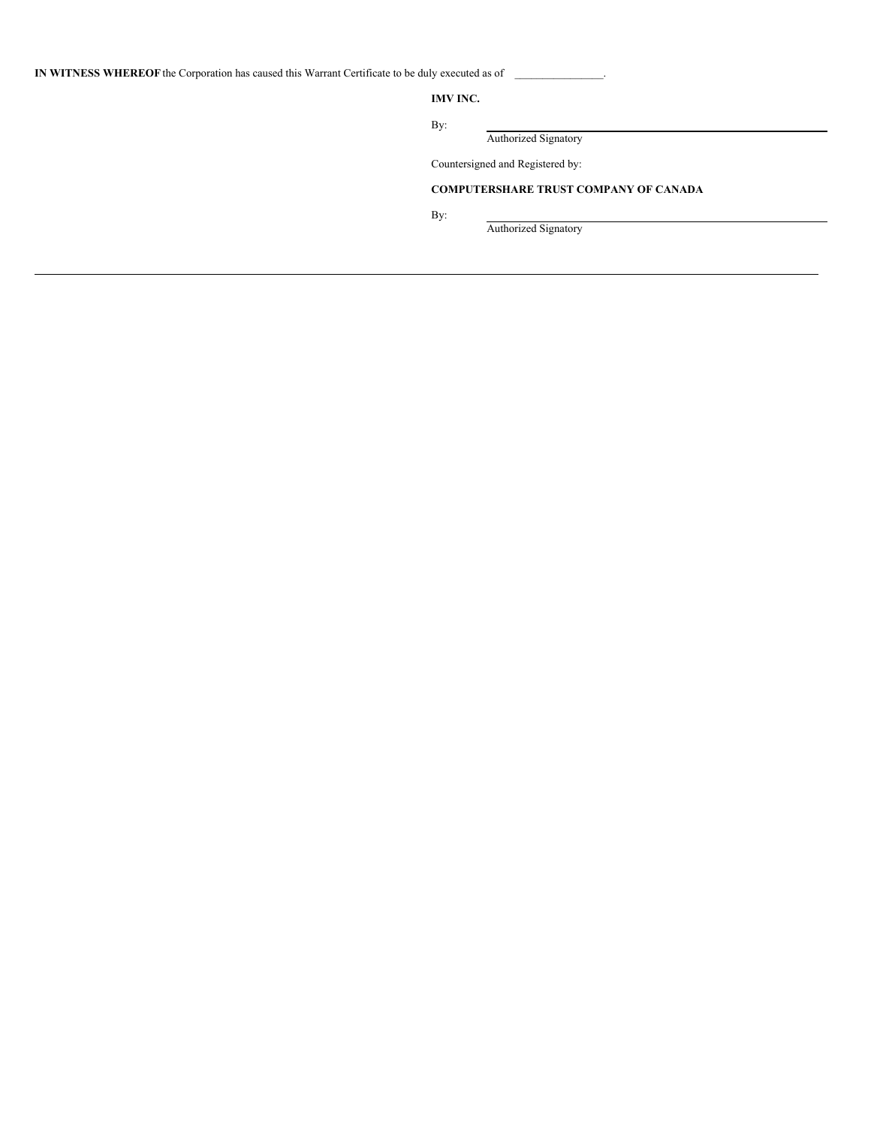**IN WITNESS WHEREOF** the Corporation has caused this Warrant Certificate to be duly executed as of \_\_\_\_\_\_\_\_\_\_\_\_\_\_\_\_.

**IMV INC.**

By:

Authorized Signatory

Countersigned and Registered by:

# **COMPUTERSHARE TRUST COMPANY OF CANADA**

By:

Authorized Signatory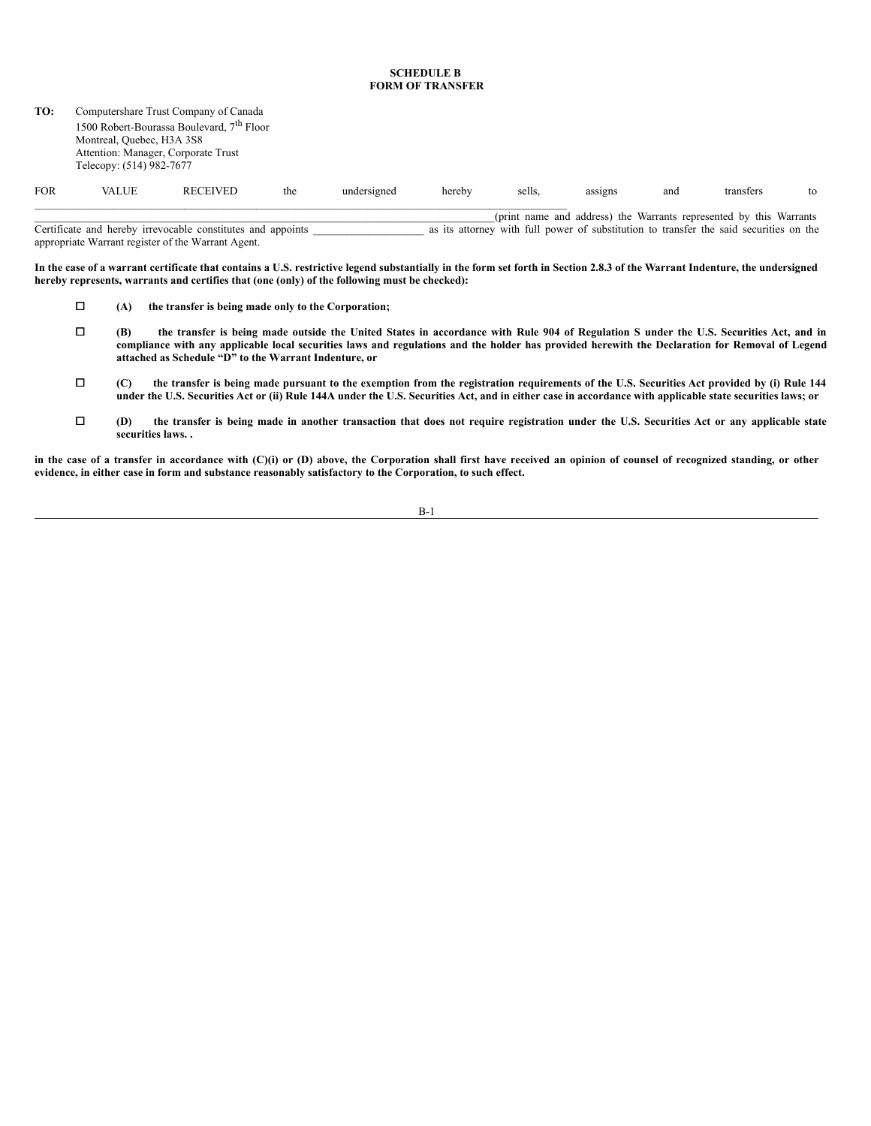#### **SCHEDULE B FORM OF TRANSFER**

| TO:        | Computershare Trust Company of Canada<br>1500 Robert-Bourassa Boulevard, 7 <sup>th</sup> Floor<br>Montreal, Ouebec, H3A 3S8<br>Attention: Manager, Corporate Trust<br>Telecopy: (514) 982-7677 |                                                             |     |             |        |        |         |     |                                                                                                                                                              |    |
|------------|------------------------------------------------------------------------------------------------------------------------------------------------------------------------------------------------|-------------------------------------------------------------|-----|-------------|--------|--------|---------|-----|--------------------------------------------------------------------------------------------------------------------------------------------------------------|----|
| <b>FOR</b> | <b>VALUE</b>                                                                                                                                                                                   | <b>RECEIVED</b>                                             | the | undersigned | hereby | sells. | assigns | and | transfers                                                                                                                                                    | to |
|            |                                                                                                                                                                                                | Contificate and bought impropried a constitute and quartute |     |             |        |        |         |     | (print name and address) the Warrants represented by this Warrants<br>an ito attamper with full mayor af arbeitertian to twongfan the anid assumition on the |    |

Certificate and hereby irrevocable constitutes and appoints \_\_\_\_\_\_\_\_\_\_\_\_\_\_\_\_\_\_\_\_ as its attorney with full power of substitution to transfer the said securities on the appropriate Warrant register of the Warrant Agent.

In the case of a warrant certificate that contains a U.S. restrictive legend substantially in the form set forth in Section 2.8.3 of the Warrant Indenture, the undersigned **hereby represents, warrants and certifies that (one (only) of the following must be checked):**

- ¨ **(A) the transfer is being made only to the Corporation;**
- □ (B) the transfer is being made outside the United States in accordance with Rule 904 of Regulation S under the U.S. Securities Act, and in compliance with any applicable local securities laws and regulations and the holder has provided herewith the Declaration for Removal of Legend **attached as Schedule "D" to the Warrant Indenture, or**
- □ (C) the transfer is being made pursuant to the exemption from the registration requirements of the U.S. Securities Act provided by (i) Rule 144 under the U.S. Securities Act or (ii) Rule 144A under the U.S. Securities Act, and in either case in accordance with applicable state securities laws; or
- □ (D) the transfer is being made in another transaction that does not require registration under the U.S. Securities Act or any applicable state **securities laws. .**

in the case of a transfer in accordance with (C)(i) or (D) above, the Corporation shall first have received an opinion of counsel of recognized standing, or other **evidence, in either case in form and substance reasonably satisfactory to the Corporation, to such effect.**

B-1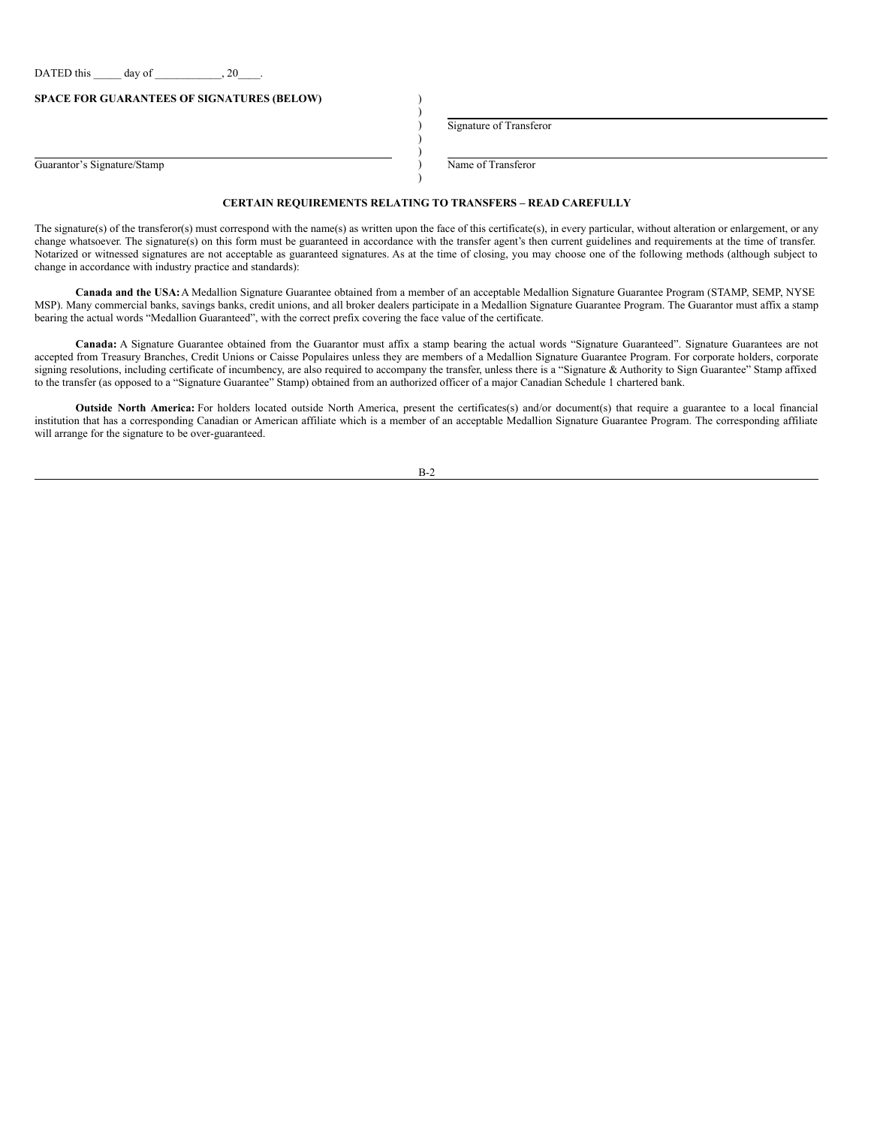DATED this  $\frac{1}{2}$  day of  $\frac{1}{2}$ , 20

**SPACE FOR GUARANTEES OF SIGNATURES (BELOW)** )

Guarantor's Signature/Stamp (and Contract Contract Contract Contract Contract Contract Contract Contract Contract Contract Contract Contract Contract Contract Contract Contract Contract Contract Contract Contract Contract

) Signature of Transferor

# ) **CERTAIN REQUIREMENTS RELATING TO TRANSFERS – READ CAREFULLY**

)

) )

The signature(s) of the transferor(s) must correspond with the name(s) as written upon the face of this certificate(s), in every particular, without alteration or enlargement, or any change whatsoever. The signature(s) on this form must be guaranteed in accordance with the transfer agent's then current guidelines and requirements at the time of transfer. Notarized or witnessed signatures are not acceptable as guaranteed signatures. As at the time of closing, you may choose one of the following methods (although subject to change in accordance with industry practice and standards):

**Canada and the USA:**A Medallion Signature Guarantee obtained from a member of an acceptable Medallion Signature Guarantee Program (STAMP, SEMP, NYSE MSP). Many commercial banks, savings banks, credit unions, and all broker dealers participate in a Medallion Signature Guarantee Program. The Guarantor must affix a stamp bearing the actual words "Medallion Guaranteed", with the correct prefix covering the face value of the certificate.

**Canada:** A Signature Guarantee obtained from the Guarantor must affix a stamp bearing the actual words "Signature Guaranteed". Signature Guarantees are not accepted from Treasury Branches, Credit Unions or Caisse Populaires unless they are members of a Medallion Signature Guarantee Program. For corporate holders, corporate signing resolutions, including certificate of incumbency, are also required to accompany the transfer, unless there is a "Signature & Authority to Sign Guarantee" Stamp affixed to the transfer (as opposed to a "Signature Guarantee" Stamp) obtained from an authorized officer of a major Canadian Schedule 1 chartered bank.

**Outside North America:** For holders located outside North America, present the certificates(s) and/or document(s) that require a guarantee to a local financial institution that has a corresponding Canadian or American affiliate which is a member of an acceptable Medallion Signature Guarantee Program. The corresponding affiliate will arrange for the signature to be over-guaranteed.

|--|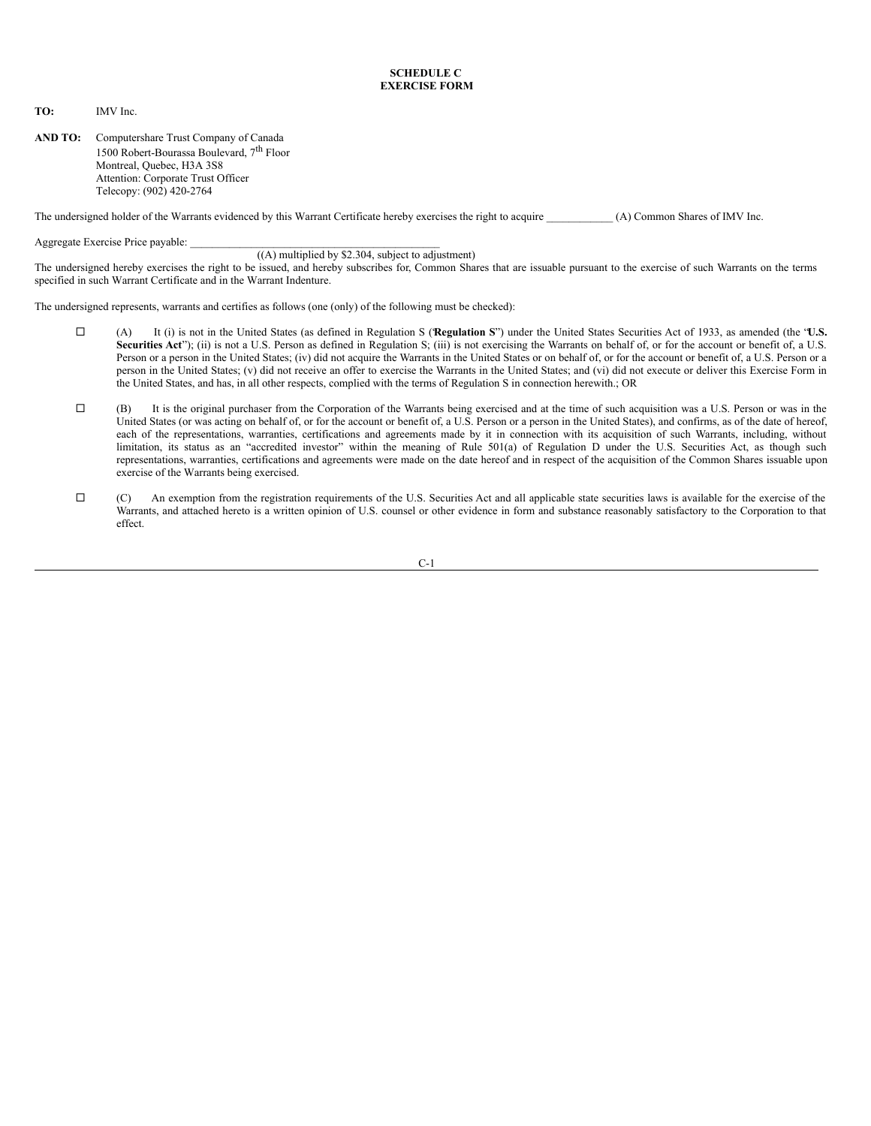#### **SCHEDULE C EXERCISE FORM**

**TO:** IMV Inc.

**AND TO:** Computershare Trust Company of Canada 1500 Robert-Bourassa Boulevard, 7<sup>th</sup> Floor Montreal, Quebec, H3A 3S8 Attention: Corporate Trust Officer Telecopy: (902) 420-2764

The undersigned holder of the Warrants evidenced by this Warrant Certificate hereby exercises the right to acquire \_\_\_\_\_\_\_\_\_\_\_\_ (A) Common Shares of IMV Inc.

Aggregate Exercise Price payable:

#### ((A) multiplied by \$2.304, subject to adjustment)

The undersigned hereby exercises the right to be issued, and hereby subscribes for, Common Shares that are issuable pursuant to the exercise of such Warrants on the terms specified in such Warrant Certificate and in the Warrant Indenture.

The undersigned represents, warrants and certifies as follows (one (only) of the following must be checked):

- ¨ (A) It (i) is not in the United States (as defined in Regulation S ("**Regulation S**") under the United States Securities Act of 1933, as amended (the "**U.S.** Securities Act"); (ii) is not a U.S. Person as defined in Regulation S; (iii) is not exercising the Warrants on behalf of, or for the account or benefit of, a U.S. Person or a person in the United States; (iv) did not acquire the Warrants in the United States or on behalf of, or for the account or benefit of, a U.S. Person or a person in the United States; (v) did not receive an offer to exercise the Warrants in the United States; and (vi) did not execute or deliver this Exercise Form in the United States, and has, in all other respects, complied with the terms of Regulation S in connection herewith.; OR
- $\Box$  (B) It is the original purchaser from the Corporation of the Warrants being exercised and at the time of such acquisition was a U.S. Person or was in the United States (or was acting on behalf of, or for the account or benefit of, a U.S. Person or a person in the United States), and confirms, as of the date of hereof, each of the representations, warranties, certifications and agreements made by it in connection with its acquisition of such Warrants, including, without limitation, its status as an "accredited investor" within the meaning of Rule 501(a) of Regulation D under the U.S. Securities Act, as though such representations, warranties, certifications and agreements were made on the date hereof and in respect of the acquisition of the Common Shares issuable upon exercise of the Warrants being exercised.
- ¨ (C) An exemption from the registration requirements of the U.S. Securities Act and all applicable state securities laws is available for the exercise of the Warrants, and attached hereto is a written opinion of U.S. counsel or other evidence in form and substance reasonably satisfactory to the Corporation to that effect.

 $C-1$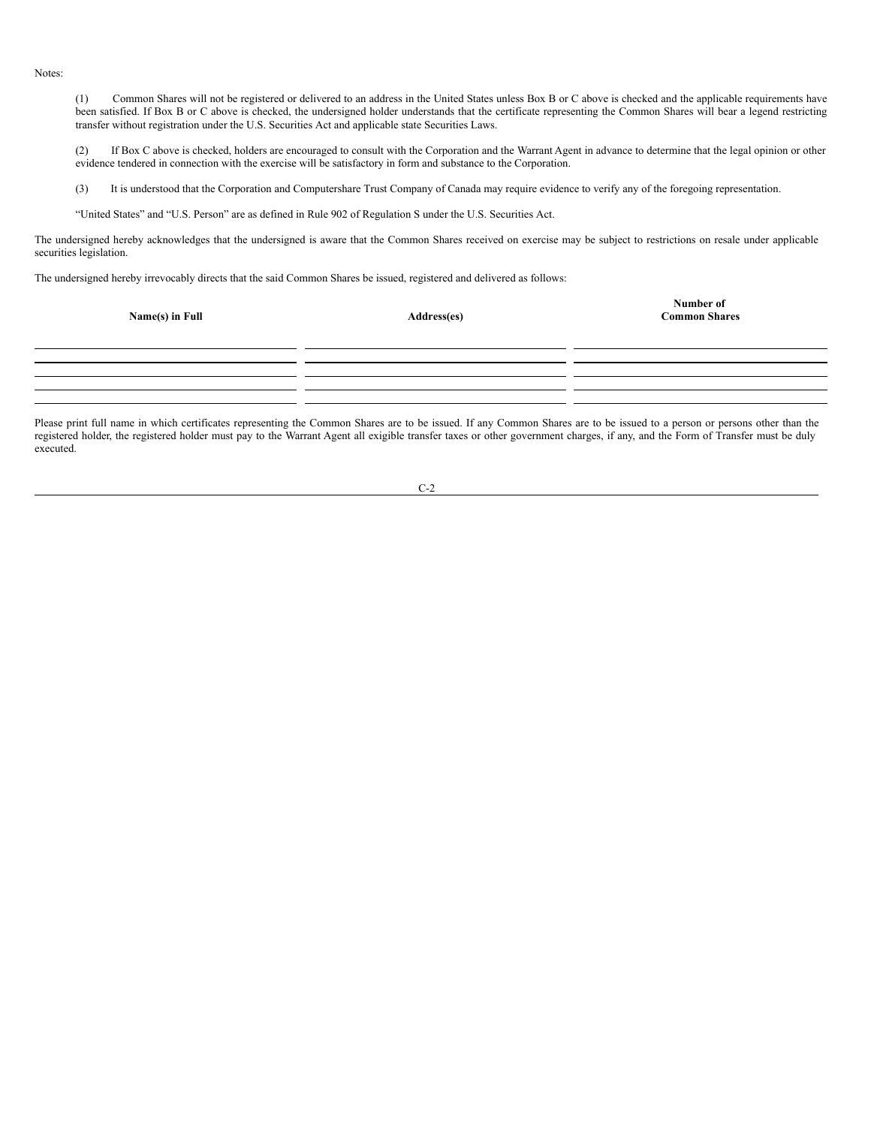Notes:

(1) Common Shares will not be registered or delivered to an address in the United States unless Box B or C above is checked and the applicable requirements have been satisfied. If Box B or C above is checked, the undersigned holder understands that the certificate representing the Common Shares will bear a legend restricting transfer without registration under the U.S. Securities Act and applicable state Securities Laws.

(2) If Box C above is checked, holders are encouraged to consult with the Corporation and the Warrant Agent in advance to determine that the legal opinion or other evidence tendered in connection with the exercise will be satisfactory in form and substance to the Corporation.

(3) It is understood that the Corporation and Computershare Trust Company of Canada may require evidence to verify any of the foregoing representation.

"United States" and "U.S. Person" are as defined in Rule 902 of Regulation S under the U.S. Securities Act.

The undersigned hereby acknowledges that the undersigned is aware that the Common Shares received on exercise may be subject to restrictions on resale under applicable securities legislation.

The undersigned hereby irrevocably directs that the said Common Shares be issued, registered and delivered as follows:

| Name(s) in Full | Address(es) | <b>Number of<br/>Common Shares</b> |  |  |
|-----------------|-------------|------------------------------------|--|--|
|                 |             |                                    |  |  |
|                 |             |                                    |  |  |

Please print full name in which certificates representing the Common Shares are to be issued. If any Common Shares are to be issued to a person or persons other than the registered holder, the registered holder must pay to the Warrant Agent all exigible transfer taxes or other government charges, if any, and the Form of Transfer must be duly executed.

| ×<br>I<br>۰. |  |
|--------------|--|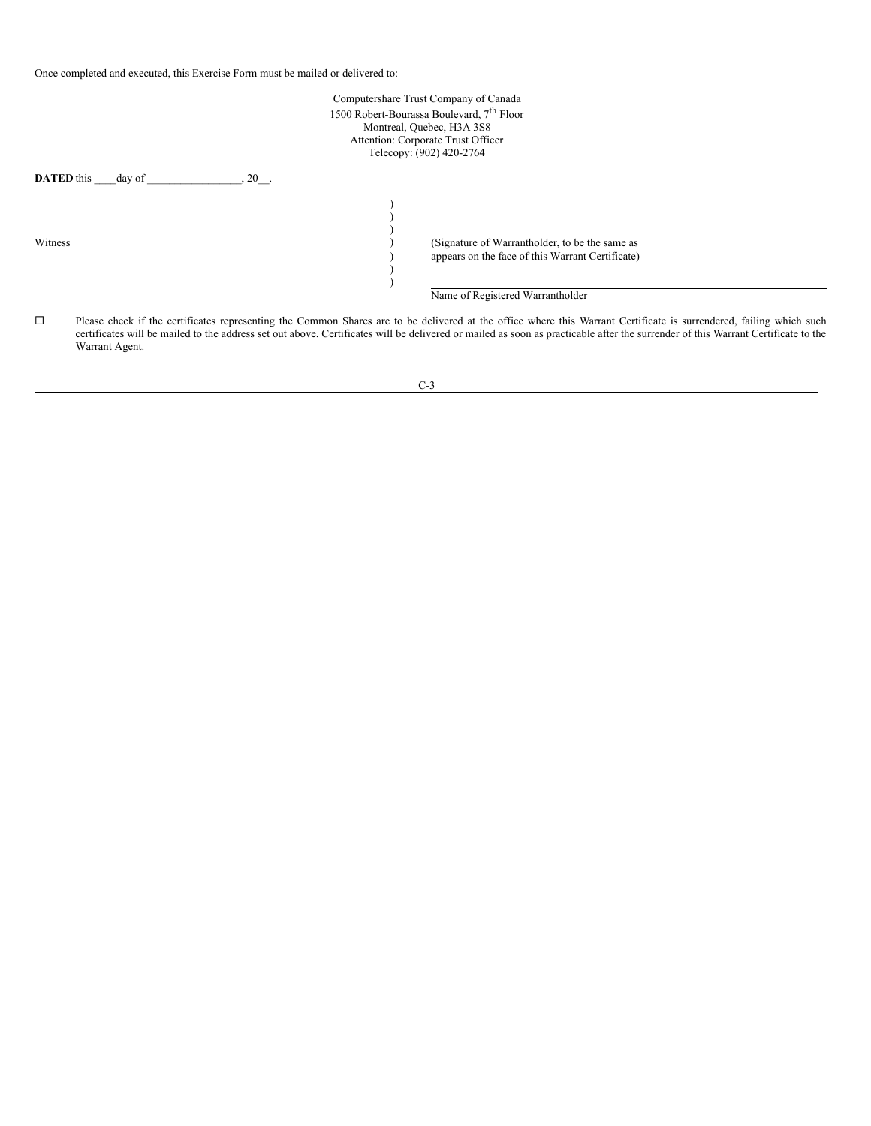Once completed and executed, this Exercise Form must be mailed or delivered to:

|         | Computershare Trust Company of Canada<br>1500 Robert-Bourassa Boulevard, 7 <sup>th</sup> Floor<br>Montreal, Quebec, H3A 3S8<br>Attention: Corporate Trust Officer<br>Telecopy: (902) 420-2764                                                                                                                                                                             |  |
|---------|---------------------------------------------------------------------------------------------------------------------------------------------------------------------------------------------------------------------------------------------------------------------------------------------------------------------------------------------------------------------------|--|
|         | <b>DATED</b> this<br>$, 20$ .<br>day of                                                                                                                                                                                                                                                                                                                                   |  |
| Witness | (Signature of Warrantholder, to be the same as<br>appears on the face of this Warrant Certificate)                                                                                                                                                                                                                                                                        |  |
|         | Name of Registered Warrantholder                                                                                                                                                                                                                                                                                                                                          |  |
| □       | Please check if the certificates representing the Common Shares are to be delivered at the office where this Warrant Certificate is surrendered, failing which such<br>certificates will be mailed to the address set out above. Certificates will be delivered or mailed as soon as practicable after the surrender of this Warrant Certificate to the<br>Warrant Agent. |  |

C-3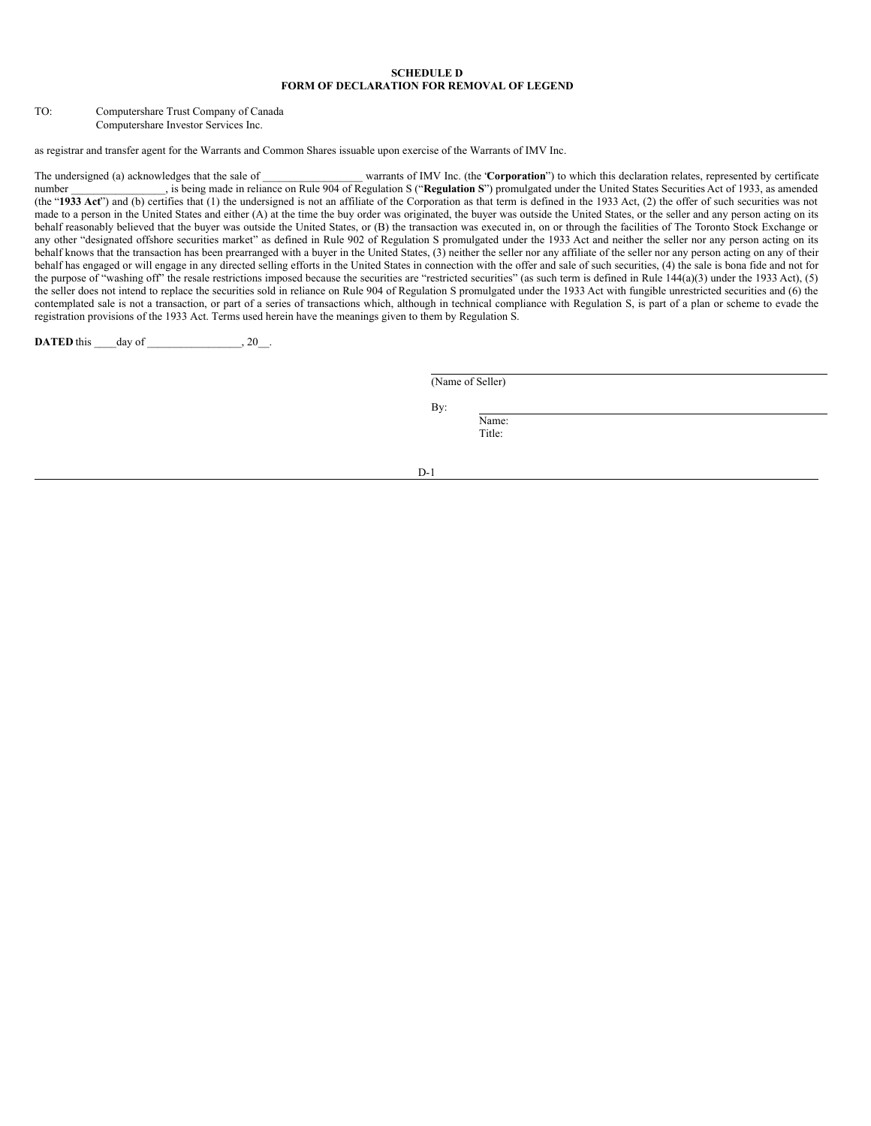#### **SCHEDULE D FORM OF DECLARATION FOR REMOVAL OF LEGEND**

TO: Computershare Trust Company of Canada Computershare Investor Services Inc.

as registrar and transfer agent for the Warrants and Common Shares issuable upon exercise of the Warrants of IMV Inc.

The undersigned (a) acknowledges that the sale of **The sale of the Supersented by certificate** and the sale of the total warrants of IMV Inc. (the **'Corporation**") to which this declaration relates, represented by certific number 2011 and intervention on Rule 904 of Regulation S ("**Regulation S**") promulgated under the United States Securities Act of 1933, as amended (the "1933 Act") and (b) certifies that (1) the undersigned is not an affiliate of the Corporation as that term is defined in the 1933 Act, (2) the offer of such securities was not made to a person in the United States and either (A) at the time the buy order was originated, the buyer was outside the United States, or the seller and any person acting on its behalf reasonably believed that the buyer was outside the United States, or (B) the transaction was executed in, on or through the facilities of The Toronto Stock Exchange or any other "designated offshore securities market" as defined in Rule 902 of Regulation S promulgated under the 1933 Act and neither the seller nor any person acting on its behalf knows that the transaction has been prearranged with a buyer in the United States, (3) neither the seller nor any affiliate of the seller nor any person acting on any of their behalf has engaged or will engage in any directed selling efforts in the United States in connection with the offer and sale of such securities, (4) the sale is bona fide and not for the purpose of "washing off" the resale restrictions imposed because the securities are "restricted securities" (as such term is defined in Rule 144(a)(3) under the 1933 Act), (5) the seller does not intend to replace the securities sold in reliance on Rule 904 of Regulation S promulgated under the 1933 Act with fungible unrestricted securities and (6) the contemplated sale is not a transaction, or part of a series of transactions which, although in technical compliance with Regulation S, is part of a plan or scheme to evade the registration provisions of the 1933 Act. Terms used herein have the meanings given to them by Regulation S.

**DATED** this day of , 20.

(Name of Seller)

By:

Name: Title:

D-1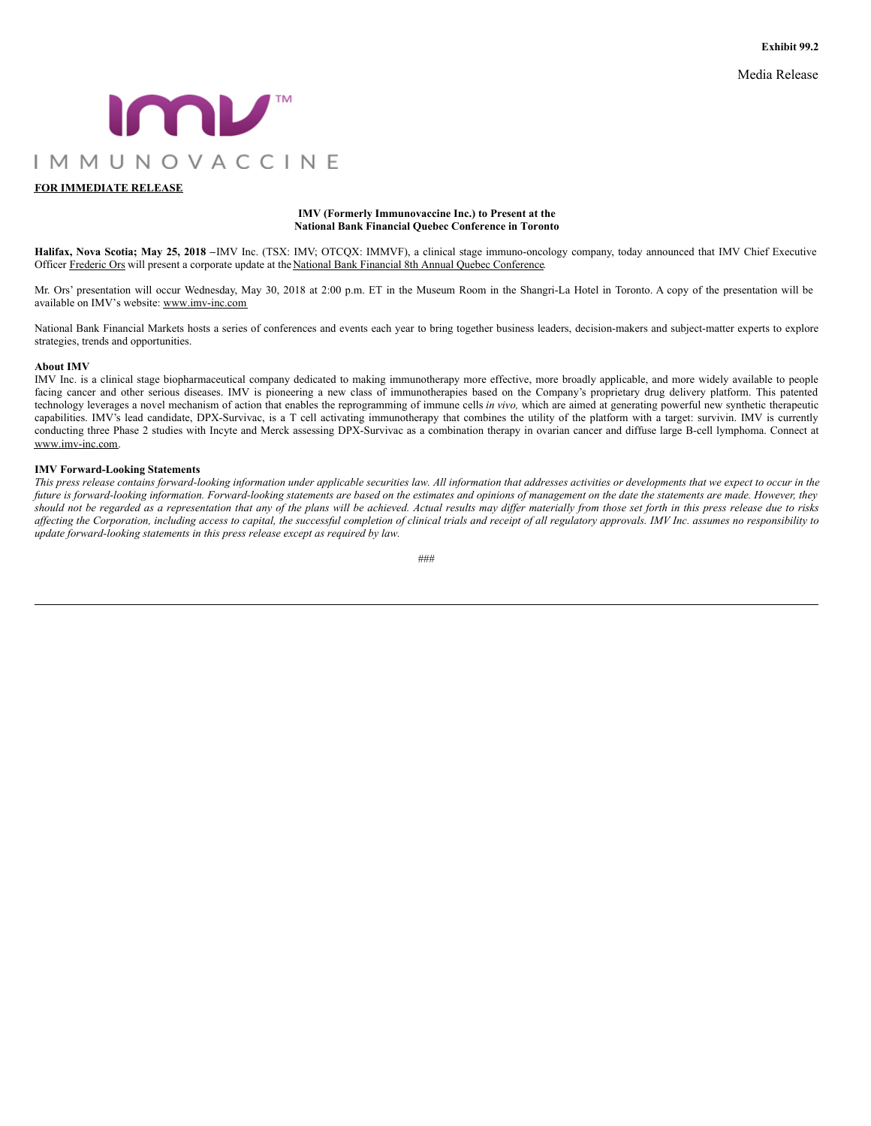Media Release

<span id="page-19-0"></span>

### **FOR IMMEDIATE RELEASE**

#### **IMV (Formerly Immunovaccine Inc.) to Present at the National Bank Financial Quebec Conference in Toronto**

**Halifax, Nova Scotia; May 25, 2018 –**IMV Inc. (TSX: IMV; OTCQX: IMMVF), a clinical stage immuno-oncology company, today announced that IMV Chief Executive Officer Frederic Ors will present a corporate update at the National Bank Financial 8th Annual Quebec Conference.

Mr. Ors' presentation will occur Wednesday, May 30, 2018 at 2:00 p.m. ET in the Museum Room in the Shangri-La Hotel in Toronto. A copy of the presentation will be available on IMV's website: www.imv-inc.com

National Bank Financial Markets hosts a series of conferences and events each year to bring together business leaders, decision-makers and subject-matter experts to explore strategies, trends and opportunities.

#### **About IMV**

IMV Inc. is a clinical stage biopharmaceutical company dedicated to making immunotherapy more effective, more broadly applicable, and more widely available to people facing cancer and other serious diseases. IMV is pioneering a new class of immunotherapies based on the Company's proprietary drug delivery platform. This patented technology leverages a novel mechanism of action that enables the reprogramming of immune cells *in vivo,* which are aimed at generating powerful new synthetic therapeutic capabilities. IMV's lead candidate, DPX-Survivac, is a T cell activating immunotherapy that combines the utility of the platform with a target: survivin. IMV is currently conducting three Phase 2 studies with Incyte and Merck assessing DPX-Survivac as a combination therapy in ovarian cancer and diffuse large B-cell lymphoma. Connect at www.imv-inc.com.

#### **IMV Forward-Looking Statements**

This press release contains forward-looking information under applicable securities law. All information that addresses activities or developments that we expect to occur in the future is forward-looking information. Forward-looking statements are based on the estimates and opinions of management on the date the statements are made. However, they should not be regarded as a representation that any of the plans will be achieved. Actual results may differ materially from those set forth in this press release due to risks affecting the Corporation, including access to capital, the successful completion of clinical trials and receipt of all regulatory approvals. IMV Inc. assumes no responsibility to *update forward-looking statements in this press release except as required by law.*

###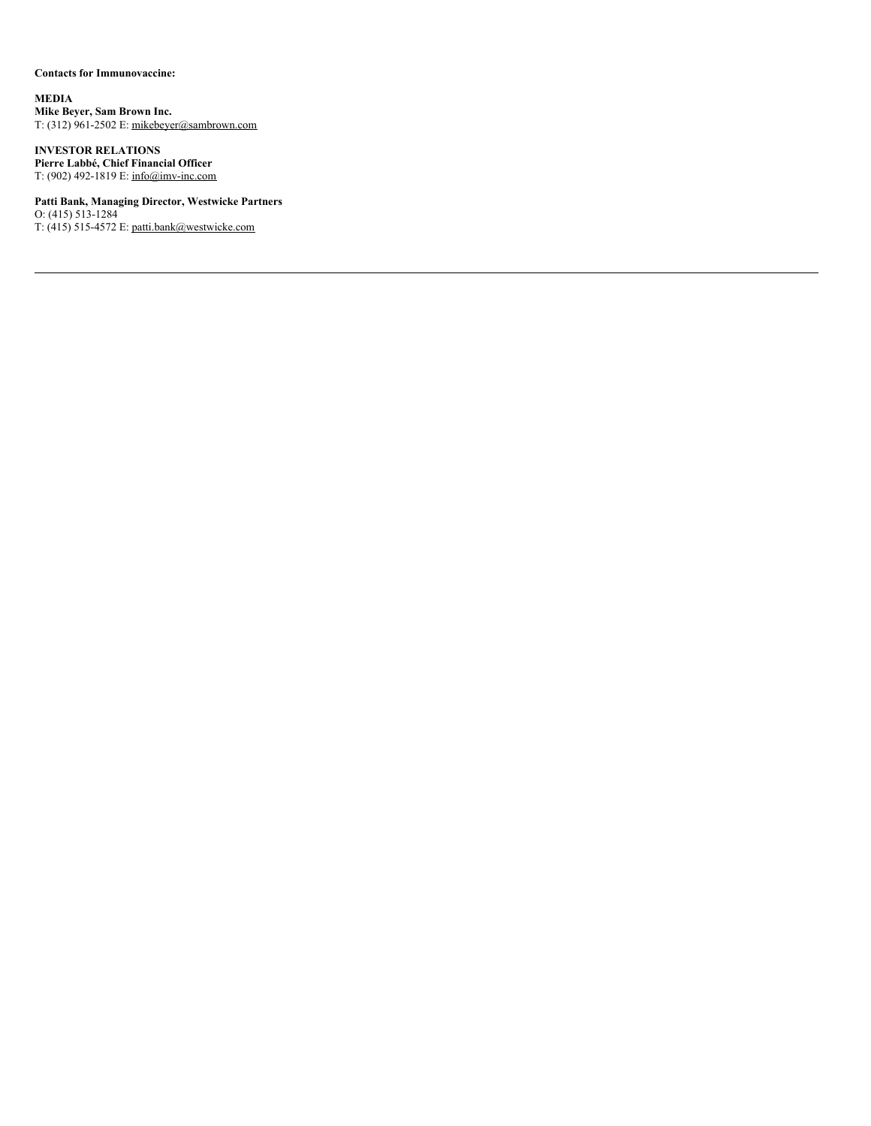# **Contacts for Immunovaccine:**

**MEDIA Mike Beyer, Sam Brown Inc.** T: (312) 961-2502 E: mikebeyer@sambrown.com

**INVESTOR RELATIONS Pierre Labbé, Chief Financial Officer** T: (902) 492-1819 E: info@imv-inc.com

**Patti Bank, Managing Director, Westwicke Partners** O:  $(415) 513 - 1284$ T: (415) 515-4572 E: patti.bank@westwicke.com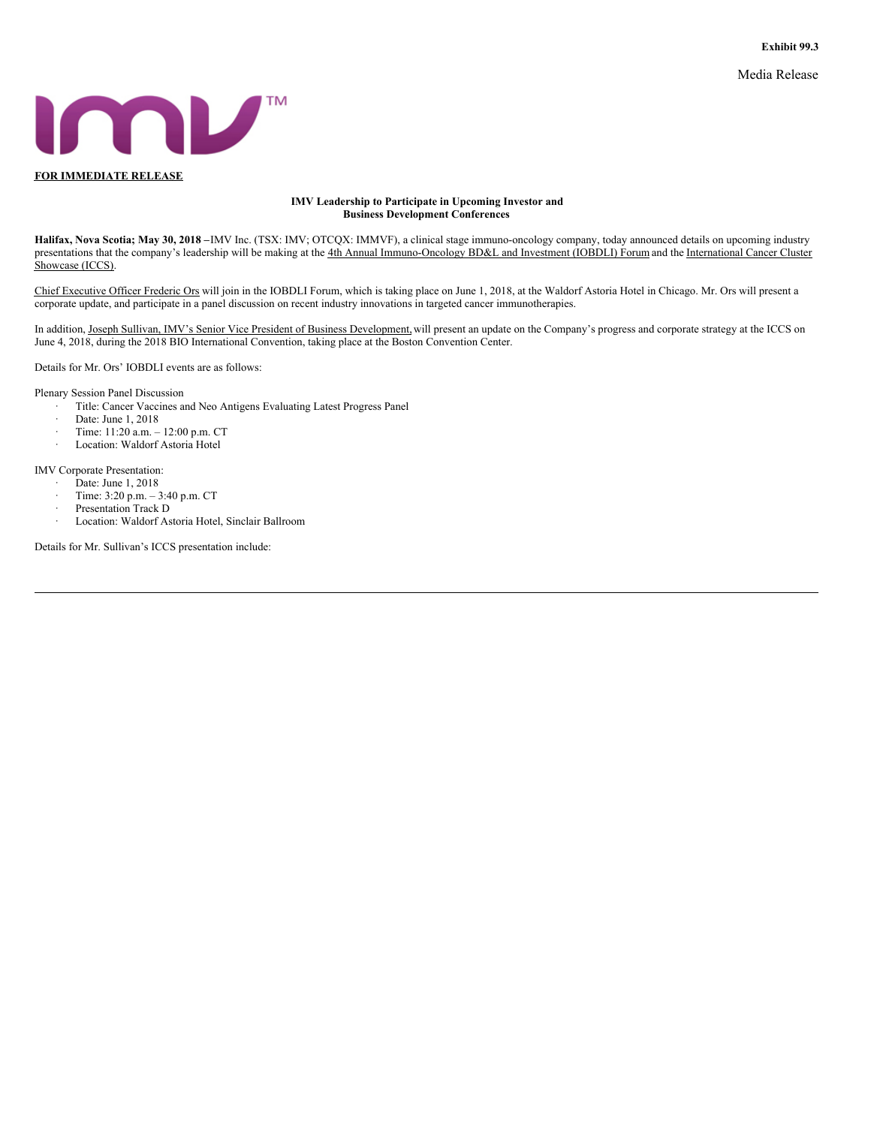Media Release

<span id="page-21-0"></span>

#### **IMV Leadership to Participate in Upcoming Investor and Business Development Conferences**

**Halifax, Nova Scotia; May 30, 2018 –**IMV Inc. (TSX: IMV; OTCQX: IMMVF), a clinical stage immuno-oncology company, today announced details on upcoming industry presentations that the company's leadership will be making at the 4th Annual Immuno-Oncology BD&L and Investment (IOBDLI) Forum and the International Cancer Cluster Showcase (ICCS).

Chief Executive Officer Frederic Ors will join in the IOBDLI Forum, which is taking place on June 1, 2018, at the Waldorf Astoria Hotel in Chicago. Mr. Ors will present a corporate update, and participate in a panel discussion on recent industry innovations in targeted cancer immunotherapies.

In addition, Joseph Sullivan, IMV's Senior Vice President of Business Development, will present an update on the Company's progress and corporate strategy at the ICCS on June 4, 2018, during the 2018 BIO International Convention, taking place at the Boston Convention Center.

Details for Mr. Ors' IOBDLI events are as follows:

Plenary Session Panel Discussion

- Title: Cancer Vaccines and Neo Antigens Evaluating Latest Progress Panel
- Date: June 1, 2018
- · Time: 11:20 a.m. 12:00 p.m. CT
- Location: Waldorf Astoria Hotel

IMV Corporate Presentation:

- Date: June 1, 2018
- · Time: 3:20 p.m. 3:40 p.m. CT
- Presentation Track D
- · Location: Waldorf Astoria Hotel, Sinclair Ballroom

Details for Mr. Sullivan's ICCS presentation include: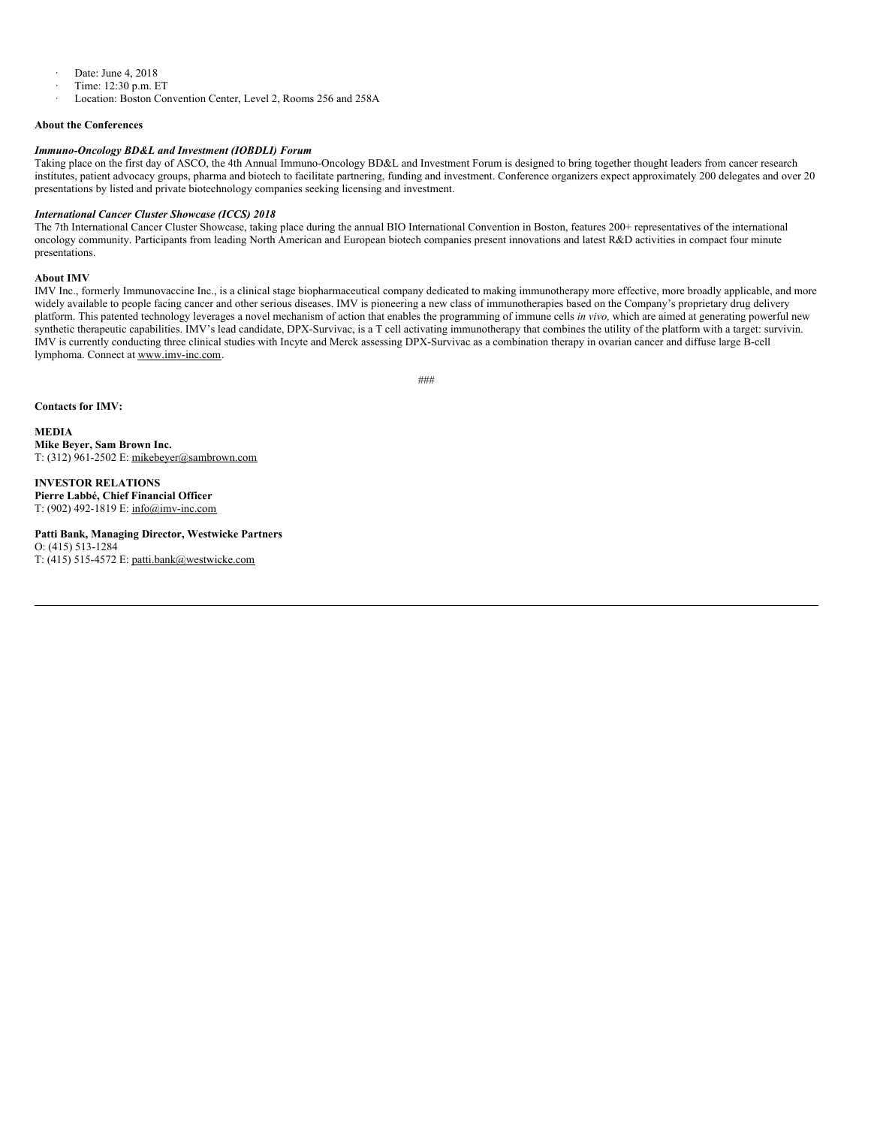- · Date: June 4, 2018
- · Time: 12:30 p.m. ET
- Location: Boston Convention Center, Level 2, Rooms 256 and 258A

#### **About the Conferences**

#### *Immuno-Oncology BD&L and Investment (IOBDLI) Forum*

Taking place on the first day of ASCO, the 4th Annual Immuno-Oncology BD&L and Investment Forum is designed to bring together thought leaders from cancer research institutes, patient advocacy groups, pharma and biotech to facilitate partnering, funding and investment. Conference organizers expect approximately 200 delegates and over 20 presentations by listed and private biotechnology companies seeking licensing and investment.

#### *International Cancer Cluster Showcase (ICCS) 2018*

The 7th International Cancer Cluster Showcase, taking place during the annual BIO International Convention in Boston, features 200+ representatives of the international oncology community. Participants from leading North American and European biotech companies present innovations and latest R&D activities in compact four minute presentations.

#### **About IMV**

IMV Inc., formerly Immunovaccine Inc., is a clinical stage biopharmaceutical company dedicated to making immunotherapy more effective, more broadly applicable, and more widely available to people facing cancer and other serious diseases. IMV is pioneering a new class of immunotherapies based on the Company's proprietary drug delivery platform. This patented technology leverages a novel mechanism of action that enables the programming of immune cells *in vivo,* which are aimed at generating powerful new synthetic therapeutic capabilities. IMV's lead candidate, DPX-Survivac, is a T cell activating immunotherapy that combines the utility of the platform with a target: survivin. IMV is currently conducting three clinical studies with Incyte and Merck assessing DPX-Survivac as a combination therapy in ovarian cancer and diffuse large B-cell lymphoma. Connect at www.imv-inc.com.

###

**Contacts for IMV:**

**MEDIA Mike Beyer, Sam Brown Inc.** T: (312) 961-2502 E: mikebeyer@sambrown.com

**INVESTOR RELATIONS Pierre Labbé, Chief Financial Officer** T: (902) 492-1819 E: info@imv-inc.com

**Patti Bank, Managing Director, Westwicke Partners** O: (415) 513-1284 T: (415) 515-4572 E: patti.bank@westwicke.com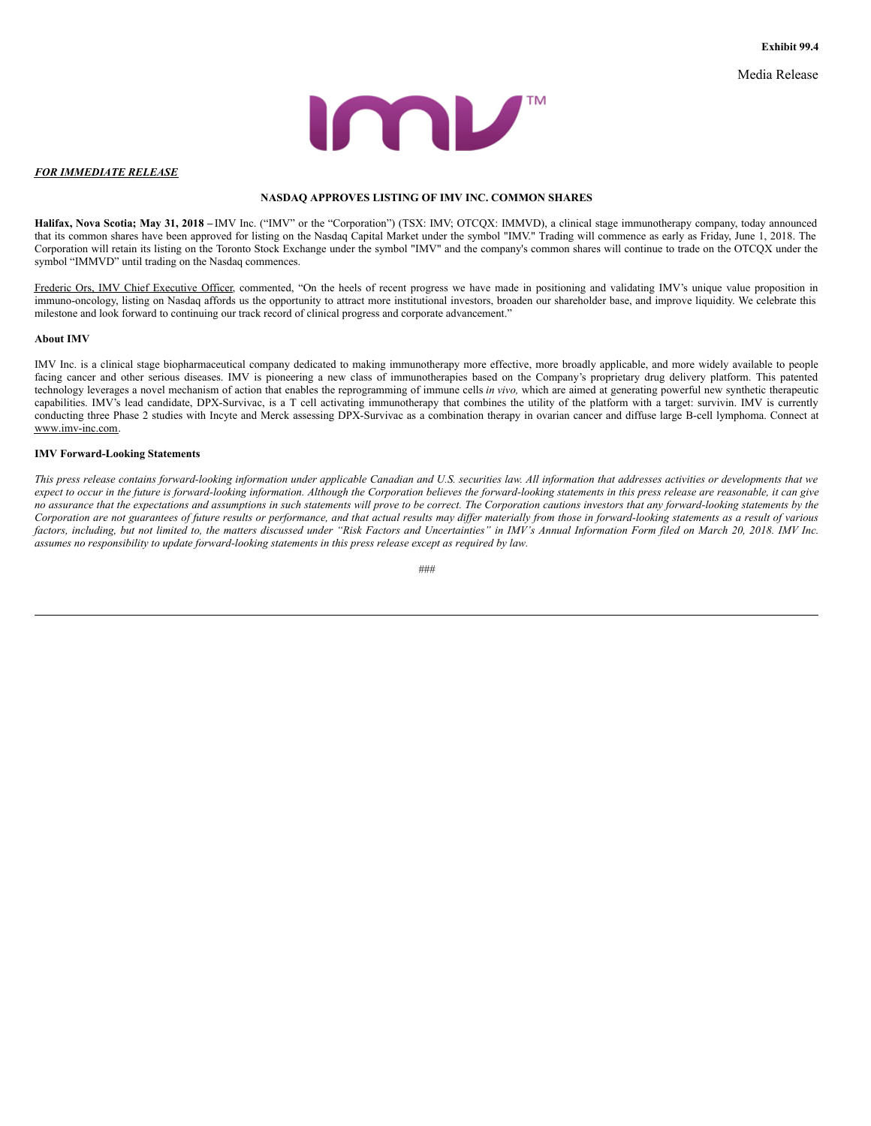Media Release



#### <span id="page-23-0"></span>*FOR IMMEDIATE RELEASE*

#### **NASDAQ APPROVES LISTING OF IMV INC. COMMON SHARES**

**Halifax, Nova Scotia; May 31, 2018 –** IMV Inc. ("IMV" or the "Corporation") (TSX: IMV; OTCQX: IMMVD), a clinical stage immunotherapy company, today announced that its common shares have been approved for listing on the Nasdaq Capital Market under the symbol "IMV." Trading will commence as early as Friday, June 1, 2018. The Corporation will retain its listing on the Toronto Stock Exchange under the symbol "IMV" and the company's common shares will continue to trade on the OTCQX under the symbol "IMMVD" until trading on the Nasdaq commences.

Frederic Ors, IMV Chief Executive Officer, commented, "On the heels of recent progress we have made in positioning and validating IMV's unique value proposition in immuno-oncology, listing on Nasdaq affords us the opportunity to attract more institutional investors, broaden our shareholder base, and improve liquidity. We celebrate this milestone and look forward to continuing our track record of clinical progress and corporate advancement."

#### **About IMV**

IMV Inc. is a clinical stage biopharmaceutical company dedicated to making immunotherapy more effective, more broadly applicable, and more widely available to people facing cancer and other serious diseases. IMV is pioneering a new class of immunotherapies based on the Company's proprietary drug delivery platform. This patented technology leverages a novel mechanism of action that enables the reprogramming of immune cells *in vivo,* which are aimed at generating powerful new synthetic therapeutic capabilities. IMV's lead candidate, DPX-Survivac, is a T cell activating immunotherapy that combines the utility of the platform with a target: survivin. IMV is currently conducting three Phase 2 studies with Incyte and Merck assessing DPX-Survivac as a combination therapy in ovarian cancer and diffuse large B-cell lymphoma. Connect at www.imv-inc.com.

#### **IMV Forward-Looking Statements**

This press release contains forward-looking information under applicable Canadian and U.S. securities law. All information that addresses activities or developments that we expect to occur in the future is forward-looking information. Although the Corporation believes the forward-looking statements in this press release are reasonable, it can give no assurance that the expectations and assumptions in such statements will prove to be correct. The Corporation cautions investors that any forward-looking statements by the Corporation are not guarantees of future results or performance, and that actual results may differ materially from those in forward-looking statements as a result of various factors, including, but not limited to, the matters discussed under "Risk Factors and Uncertainties" in IMV's Annual Information Form filed on March 20, 2018. IMV Inc. *assumes no responsibility to update forward-looking statements in this press release except as required by law.*

*###*